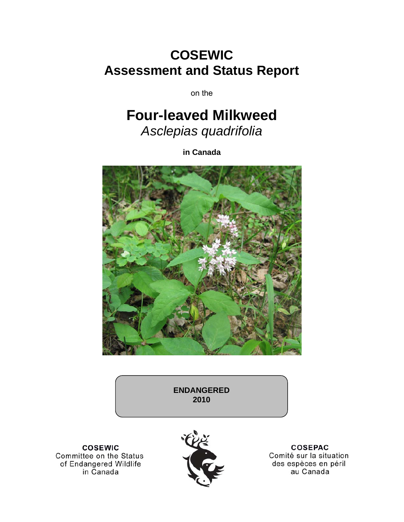# **COSEWIC Assessment and Status Report**

on the

# **Four-leaved Milkweed**  *Asclepias quadrifolia*

**in Canada** 



**ENDANGERED 2010** 

**COSEWIC** Committee on the Status of Endangered Wildlife in Canada



**COSEPAC** Comité sur la situation des espèces en péril au Canada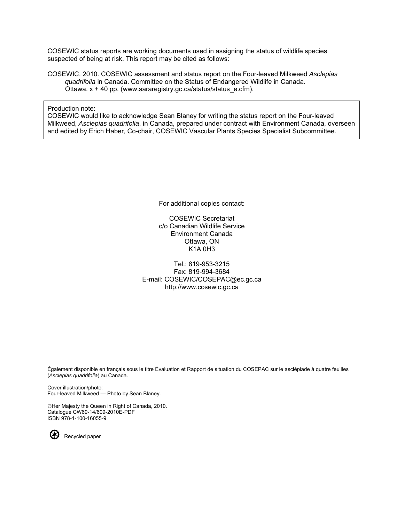COSEWIC status reports are working documents used in assigning the status of wildlife species suspected of being at risk. This report may be cited as follows:

COSEWIC. 2010. COSEWIC assessment and status report on the Four-leaved Milkweed *Asclepias quadrifolia* in Canada. Committee on the Status of Endangered Wildlife in Canada. Ottawa. x + 40 pp. (www.sararegistry.gc.ca/status/status\_e.cfm).

Production note:

COSEWIC would like to acknowledge Sean Blaney for writing the status report on the Four-leaved Milkweed, *Asclepias quadrifolia*, in Canada, prepared under contract with Environment Canada, overseen and edited by Erich Haber, Co-chair, COSEWIC Vascular Plants Species Specialist Subcommittee.

For additional copies contact:

COSEWIC Secretariat c/o Canadian Wildlife Service Environment Canada Ottawa, ON K1A 0H3

Tel.: 819-953-3215 Fax: 819-994-3684 E-mail: COSEWIC/COSEPAC@ec.gc.ca http://www.cosewic.gc.ca

Également disponible en français sous le titre Ếvaluation et Rapport de situation du COSEPAC sur le asclépiade à quatre feuilles (*Asclepias quadrifolia*) au Canada.

Cover illustration/photo: Four-leaved Milkweed — Photo by Sean Blaney.

©Her Majesty the Queen in Right of Canada, 2010. Catalogue CW69-14/609-2010E-PDF ISBN 978-1-100-16055-9



Recycled paper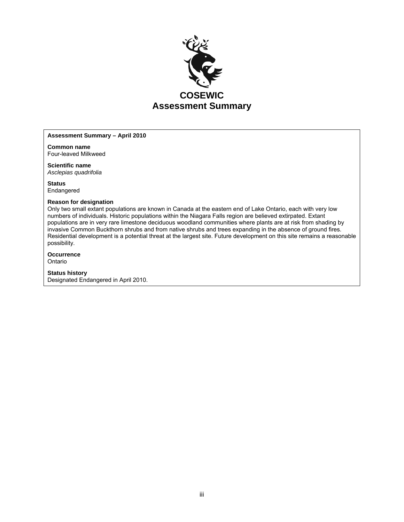

#### **Assessment Summary – April 2010**

**Common name**  Four-leaved Milkweed

**Scientific name**  *Asclepias quadrifolia* 

**Status**  Endangered

#### **Reason for designation**

Only two small extant populations are known in Canada at the eastern end of Lake Ontario, each with very low numbers of individuals. Historic populations within the Niagara Falls region are believed extirpated. Extant populations are in very rare limestone deciduous woodland communities where plants are at risk from shading by invasive Common Buckthorn shrubs and from native shrubs and trees expanding in the absence of ground fires. Residential development is a potential threat at the largest site. Future development on this site remains a reasonable possibility.

#### **Occurrence**

Ontario

#### **Status history**

Designated Endangered in April 2010.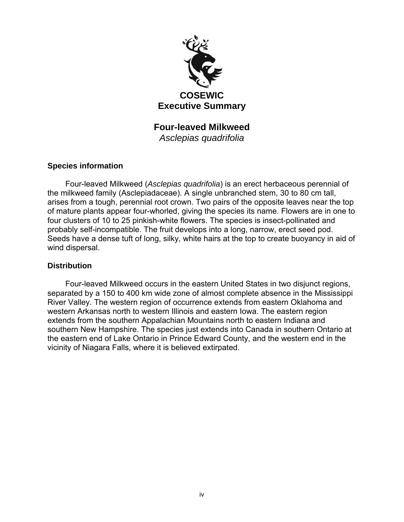

**Four-leaved Milkweed**  *Asclepias quadrifolia* 

## **Species information**

Four-leaved Milkweed (*Asclepias quadrifolia*) is an erect herbaceous perennial of the milkweed family (Asclepiadaceae). A single unbranched stem, 30 to 80 cm tall, arises from a tough, perennial root crown. Two pairs of the opposite leaves near the top of mature plants appear four-whorled, giving the species its name. Flowers are in one to four clusters of 10 to 25 pinkish-white flowers. The species is insect-pollinated and probably self-incompatible. The fruit develops into a long, narrow, erect seed pod. Seeds have a dense tuft of long, silky, white hairs at the top to create buoyancy in aid of wind dispersal.

#### **Distribution**

Four-leaved Milkweed occurs in the eastern United States in two disjunct regions, separated by a 150 to 400 km wide zone of almost complete absence in the Mississippi River Valley. The western region of occurrence extends from eastern Oklahoma and western Arkansas north to western Illinois and eastern Iowa. The eastern region extends from the southern Appalachian Mountains north to eastern Indiana and southern New Hampshire. The species just extends into Canada in southern Ontario at the eastern end of Lake Ontario in Prince Edward County, and the western end in the vicinity of Niagara Falls, where it is believed extirpated.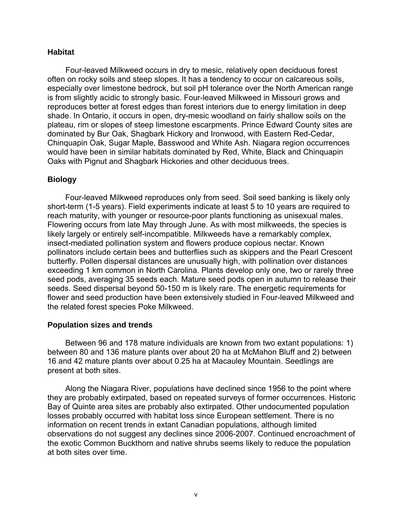#### **Habitat**

Four-leaved Milkweed occurs in dry to mesic, relatively open deciduous forest often on rocky soils and steep slopes. It has a tendency to occur on calcareous soils, especially over limestone bedrock, but soil pH tolerance over the North American range is from slightly acidic to strongly basic. Four-leaved Milkweed in Missouri grows and reproduces better at forest edges than forest interiors due to energy limitation in deep shade. In Ontario, it occurs in open, dry-mesic woodland on fairly shallow soils on the plateau, rim or slopes of steep limestone escarpments. Prince Edward County sites are dominated by Bur Oak, Shagbark Hickory and Ironwood, with Eastern Red-Cedar, Chinquapin Oak, Sugar Maple, Basswood and White Ash. Niagara region occurrences would have been in similar habitats dominated by Red, White, Black and Chinquapin Oaks with Pignut and Shagbark Hickories and other deciduous trees.

## **Biology**

Four-leaved Milkweed reproduces only from seed. Soil seed banking is likely only short-term (1-5 years). Field experiments indicate at least 5 to 10 years are required to reach maturity, with younger or resource-poor plants functioning as unisexual males. Flowering occurs from late May through June. As with most milkweeds, the species is likely largely or entirely self-incompatible. Milkweeds have a remarkably complex, insect-mediated pollination system and flowers produce copious nectar. Known pollinators include certain bees and butterflies such as skippers and the Pearl Crescent butterfly. Pollen dispersal distances are unusually high, with pollination over distances exceeding 1 km common in North Carolina. Plants develop only one, two or rarely three seed pods, averaging 35 seeds each. Mature seed pods open in autumn to release their seeds. Seed dispersal beyond 50-150 m is likely rare. The energetic requirements for flower and seed production have been extensively studied in Four-leaved Milkweed and the related forest species Poke Milkweed.

#### **Population sizes and trends**

Between 96 and 178 mature individuals are known from two extant populations: 1) between 80 and 136 mature plants over about 20 ha at McMahon Bluff and 2) between 16 and 42 mature plants over about 0.25 ha at Macauley Mountain. Seedlings are present at both sites.

Along the Niagara River, populations have declined since 1956 to the point where they are probably extirpated, based on repeated surveys of former occurrences. Historic Bay of Quinte area sites are probably also extirpated. Other undocumented population losses probably occurred with habitat loss since European settlement. There is no information on recent trends in extant Canadian populations, although limited observations do not suggest any declines since 2006-2007. Continued encroachment of the exotic Common Buckthorn and native shrubs seems likely to reduce the population at both sites over time.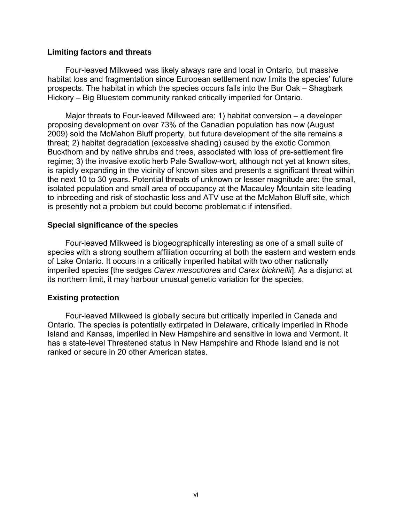#### **Limiting factors and threats**

Four-leaved Milkweed was likely always rare and local in Ontario, but massive habitat loss and fragmentation since European settlement now limits the species' future prospects. The habitat in which the species occurs falls into the Bur Oak – Shagbark Hickory – Big Bluestem community ranked critically imperiled for Ontario.

Major threats to Four-leaved Milkweed are: 1) habitat conversion – a developer proposing development on over 73% of the Canadian population has now (August 2009) sold the McMahon Bluff property, but future development of the site remains a threat; 2) habitat degradation (excessive shading) caused by the exotic Common Buckthorn and by native shrubs and trees, associated with loss of pre-settlement fire regime; 3) the invasive exotic herb Pale Swallow-wort, although not yet at known sites, is rapidly expanding in the vicinity of known sites and presents a significant threat within the next 10 to 30 years. Potential threats of unknown or lesser magnitude are: the small, isolated population and small area of occupancy at the Macauley Mountain site leading to inbreeding and risk of stochastic loss and ATV use at the McMahon Bluff site, which is presently not a problem but could become problematic if intensified.

## **Special significance of the species**

Four-leaved Milkweed is biogeographically interesting as one of a small suite of species with a strong southern affiliation occurring at both the eastern and western ends of Lake Ontario. It occurs in a critically imperiled habitat with two other nationally imperiled species [the sedges *Carex mesochorea* and *Carex bicknellii*]. As a disjunct at its northern limit, it may harbour unusual genetic variation for the species.

## **Existing protection**

Four-leaved Milkweed is globally secure but critically imperiled in Canada and Ontario. The species is potentially extirpated in Delaware, critically imperiled in Rhode Island and Kansas, imperiled in New Hampshire and sensitive in Iowa and Vermont. It has a state-level Threatened status in New Hampshire and Rhode Island and is not ranked or secure in 20 other American states.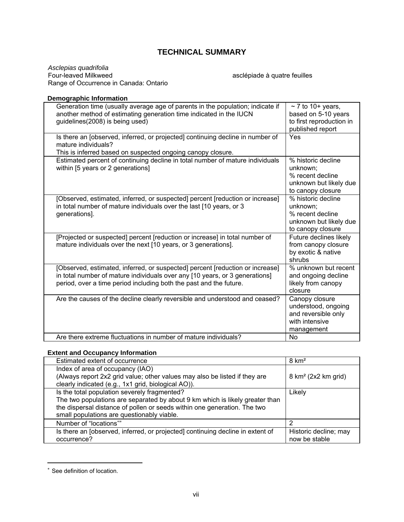## **TECHNICAL SUMMARY**

*Asclepias quadrifolia*  Range of Occurrence in Canada: Ontario

asclépiade à quatre feuilles

#### **Demographic Information**

| Generation time (usually average age of parents in the population; indicate if<br>another method of estimating generation time indicated in the IUCN<br>guidelines(2008) is being used)                                            | $\sim$ 7 to 10+ years,<br>based on 5-10 years<br>to first reproduction in<br>published report     |
|------------------------------------------------------------------------------------------------------------------------------------------------------------------------------------------------------------------------------------|---------------------------------------------------------------------------------------------------|
| Is there an [observed, inferred, or projected] continuing decline in number of<br>mature individuals?<br>This is inferred based on suspected ongoing canopy closure.                                                               | Yes                                                                                               |
| Estimated percent of continuing decline in total number of mature individuals<br>within [5 years or 2 generations]                                                                                                                 | % historic decline<br>unknown;<br>% recent decline<br>unknown but likely due<br>to canopy closure |
| [Observed, estimated, inferred, or suspected] percent [reduction or increase]<br>in total number of mature individuals over the last [10 years, or 3<br>generations].                                                              | % historic decline<br>unknown:<br>% recent decline<br>unknown but likely due<br>to canopy closure |
| [Projected or suspected] percent [reduction or increase] in total number of<br>mature individuals over the next [10 years, or 3 generations].                                                                                      | Future declines likely<br>from canopy closure<br>by exotic & native<br>shrubs                     |
| [Observed, estimated, inferred, or suspected] percent [reduction or increase]<br>in total number of mature individuals over any [10 years, or 3 generations]<br>period, over a time period including both the past and the future. | % unknown but recent<br>and ongoing decline<br>likely from canopy<br>closure                      |
| Are the causes of the decline clearly reversible and understood and ceased?                                                                                                                                                        | Canopy closure<br>understood, ongoing<br>and reversible only<br>with intensive<br>management      |
| Are there extreme fluctuations in number of mature individuals?                                                                                                                                                                    | <b>No</b>                                                                                         |

#### **Extent and Occupancy Information**

| Estimated extent of occurrence                                                 | $8 \text{ km}^2$                |
|--------------------------------------------------------------------------------|---------------------------------|
| Index of area of occupancy (IAO)                                               |                                 |
| (Always report 2x2 grid value; other values may also be listed if they are     | 8 km <sup>2</sup> (2x2 km grid) |
| clearly indicated (e.g., 1x1 grid, biological AO)).                            |                                 |
| Is the total population severely fragmented?                                   | Likely                          |
| The two populations are separated by about 9 km which is likely greater than   |                                 |
| the dispersal distance of pollen or seeds within one generation. The two       |                                 |
| small populations are questionably viable.                                     |                                 |
| Number of "locations""                                                         | 2                               |
| Is there an [observed, inferred, or projected] continuing decline in extent of | Historic decline; may           |
| occurrence?                                                                    | now be stable                   |

<sup>∗</sup> See definition of location.

 $\overline{a}$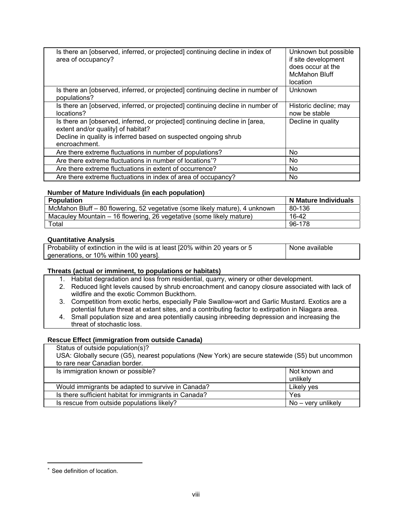| Is there an [observed, inferred, or projected] continuing decline in index of<br>area of occupancy?                                                                                                   | Unknown but possible<br>if site development<br>does occur at the<br><b>McMahon Bluff</b><br>location |
|-------------------------------------------------------------------------------------------------------------------------------------------------------------------------------------------------------|------------------------------------------------------------------------------------------------------|
| Is there an <i>[observed, inferred, or projected]</i> continuing decline in number of<br>populations?                                                                                                 | Unknown                                                                                              |
| Is there an [observed, inferred, or projected] continuing decline in number of<br>locations?                                                                                                          | Historic decline; may<br>now be stable                                                               |
| Is there an [observed, inferred, or projected] continuing decline in [area,<br>extent and/or quality] of habitat?<br>Decline in quality is inferred based on suspected ongoing shrub<br>encroachment. | Decline in quality                                                                                   |
| Are there extreme fluctuations in number of populations?                                                                                                                                              | N <sub>o</sub>                                                                                       |
| Are there extreme fluctuations in number of locations <sup>*</sup> ?                                                                                                                                  | No.                                                                                                  |
| Are there extreme fluctuations in extent of occurrence?                                                                                                                                               | N <sub>o</sub>                                                                                       |
| Are there extreme fluctuations in index of area of occupancy?                                                                                                                                         | No                                                                                                   |

#### **Number of Mature Individuals (in each population)**

| <b>Population</b>                                                           | N Mature Individuals |
|-----------------------------------------------------------------------------|----------------------|
| McMahon Bluff - 80 flowering, 52 vegetative (some likely mature), 4 unknown | 80-136               |
| Macauley Mountain – 16 flowering, 26 vegetative (some likely mature)        | 16-42                |
| Total                                                                       | 96-178               |

#### **Quantitative Analysis**

| Probability of extinction in the wild is at least [20% within 20 years or 5 | None available |
|-----------------------------------------------------------------------------|----------------|
| generations, or 10% within 100 years].                                      |                |

#### **Threats (actual or imminent, to populations or habitats)**

1. Habitat degradation and loss from residential, quarry, winery or other development.

- 2. Reduced light levels caused by shrub encroachment and canopy closure associated with lack of wildfire and the exotic Common Buckthorn.
- 3. Competition from exotic herbs, especially Pale Swallow-wort and Garlic Mustard. Exotics are a potential future threat at extant sites, and a contributing factor to extirpation in Niagara area.
- 4. Small population size and area potentially causing inbreeding depression and increasing the threat of stochastic loss.

#### **Rescue Effect (immigration from outside Canada)**

| Status of outside population(s)?                                                                 |                    |
|--------------------------------------------------------------------------------------------------|--------------------|
| USA: Globally secure (G5), nearest populations (New York) are secure statewide (S5) but uncommon |                    |
| to rare near Canadian border.                                                                    |                    |
| Is immigration known or possible?                                                                | Not known and      |
|                                                                                                  | unlikely           |
| Would immigrants be adapted to survive in Canada?                                                | Likely yes         |
| Is there sufficient habitat for immigrants in Canada?                                            | Yes                |
| Is rescue from outside populations likely?                                                       | No – very unlikely |

 $\overline{a}$ 

See definition of location.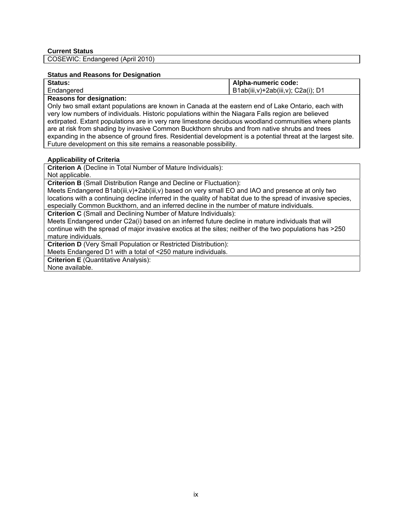COSEWIC: Endangered (April 2010)

#### **Status and Reasons for Designation**

| Status:                                                                                             | Alpha-numeric code:                |  |
|-----------------------------------------------------------------------------------------------------|------------------------------------|--|
| Endangered                                                                                          | B1ab(iii,v)+2ab(iii,v); C2a(i); D1 |  |
| <b>Reasons for designation:</b>                                                                     |                                    |  |
| Only two small extant populations are known in Canada at the eastern end of Lake Ontario, each with |                                    |  |

very low numbers of individuals. Historic populations within the Niagara Falls region are believed extirpated. Extant populations are in very rare limestone deciduous woodland communities where plants are at risk from shading by invasive Common Buckthorn shrubs and from native shrubs and trees expanding in the absence of ground fires. Residential development is a potential threat at the largest site. Future development on this site remains a reasonable possibility.

#### **Applicability of Criteria**

**Criterion A** (Decline in Total Number of Mature Individuals):

Not applicable.

**Criterion B** (Small Distribution Range and Decline or Fluctuation):

Meets Endangered B1ab(iii,v)+2ab(iii,v) based on very small EO and IAO and presence at only two locations with a continuing decline inferred in the quality of habitat due to the spread of invasive species, especially Common Buckthorn, and an inferred decline in the number of mature individuals.

**Criterion C** (Small and Declining Number of Mature Individuals):

Meets Endangered under C2a(i) based on an inferred future decline in mature individuals that will continue with the spread of major invasive exotics at the sites; neither of the two populations has >250 mature individuals.

**Criterion D** (Very Small Population or Restricted Distribution):

Meets Endangered D1 with a total of <250 mature individuals.

**Criterion E** (Quantitative Analysis):

None available.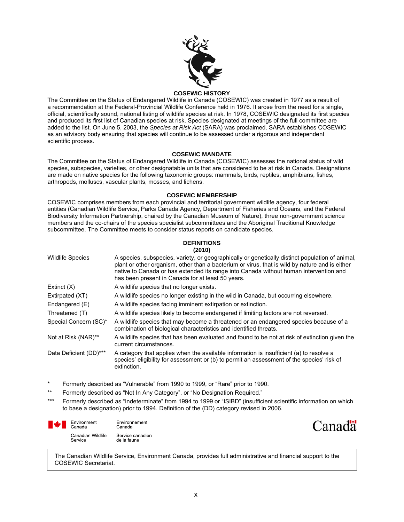

#### **COSEWIC HISTORY**

The Committee on the Status of Endangered Wildlife in Canada (COSEWIC) was created in 1977 as a result of a recommendation at the Federal-Provincial Wildlife Conference held in 1976. It arose from the need for a single, official, scientifically sound, national listing of wildlife species at risk. In 1978, COSEWIC designated its first species and produced its first list of Canadian species at risk. Species designated at meetings of the full committee are added to the list. On June 5, 2003, the *Species at Risk Act* (SARA) was proclaimed. SARA establishes COSEWIC as an advisory body ensuring that species will continue to be assessed under a rigorous and independent scientific process.

#### **COSEWIC MANDATE**

The Committee on the Status of Endangered Wildlife in Canada (COSEWIC) assesses the national status of wild species, subspecies, varieties, or other designatable units that are considered to be at risk in Canada. Designations are made on native species for the following taxonomic groups: mammals, birds, reptiles, amphibians, fishes, arthropods, molluscs, vascular plants, mosses, and lichens.

#### **COSEWIC MEMBERSHIP**

COSEWIC comprises members from each provincial and territorial government wildlife agency, four federal entities (Canadian Wildlife Service, Parks Canada Agency, Department of Fisheries and Oceans, and the Federal Biodiversity Information Partnership, chaired by the Canadian Museum of Nature), three non-government science members and the co-chairs of the species specialist subcommittees and the Aboriginal Traditional Knowledge subcommittee. The Committee meets to consider status reports on candidate species.

#### **DEFINITIONS (2010)**

| <b>Wildlife Species</b> | A species, subspecies, variety, or geographically or genetically distinct population of animal,<br>plant or other organism, other than a bacterium or virus, that is wild by nature and is either<br>native to Canada or has extended its range into Canada without human intervention and<br>has been present in Canada for at least 50 years. |
|-------------------------|-------------------------------------------------------------------------------------------------------------------------------------------------------------------------------------------------------------------------------------------------------------------------------------------------------------------------------------------------|
| Extinct $(X)$           | A wildlife species that no longer exists.                                                                                                                                                                                                                                                                                                       |
| Extirpated (XT)         | A wildlife species no longer existing in the wild in Canada, but occurring elsewhere.                                                                                                                                                                                                                                                           |
| Endangered (E)          | A wildlife species facing imminent extirpation or extinction.                                                                                                                                                                                                                                                                                   |
| Threatened (T)          | A wildlife species likely to become endangered if limiting factors are not reversed.                                                                                                                                                                                                                                                            |
| Special Concern (SC)*   | A wildlife species that may become a threatened or an endangered species because of a<br>combination of biological characteristics and identified threats.                                                                                                                                                                                      |
| Not at Risk (NAR)**     | A wildlife species that has been evaluated and found to be not at risk of extinction given the<br>current circumstances.                                                                                                                                                                                                                        |
| Data Deficient (DD)***  | A category that applies when the available information is insufficient (a) to resolve a<br>species' eligibility for assessment or (b) to permit an assessment of the species' risk of<br>extinction.                                                                                                                                            |

- Formerly described as "Vulnerable" from 1990 to 1999, or "Rare" prior to 1990.
- Formerly described as "Not In Any Category", or "No Designation Required."
- \*\*\* Formerly described as "Indeterminate" from 1994 to 1999 or "ISIBD" (insufficient scientific information on which to base a designation) prior to 1994. Definition of the (DD) category revised in 2006.



Environnement Canada Service canadien de la faune



The Canadian Wildlife Service, Environment Canada, provides full administrative and financial support to the COSEWIC Secretariat.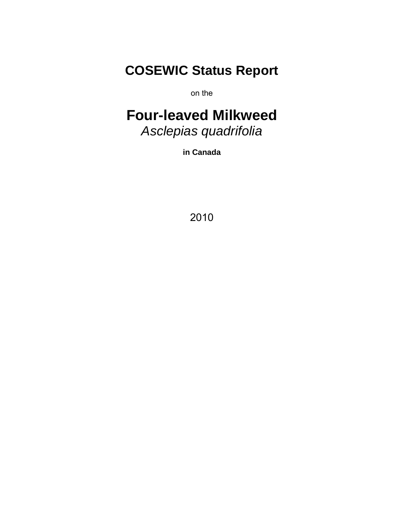# **COSEWIC Status Report**

on the

# **Four-leaved Milkweed**  *Asclepias quadrifolia*

**in Canada** 

2010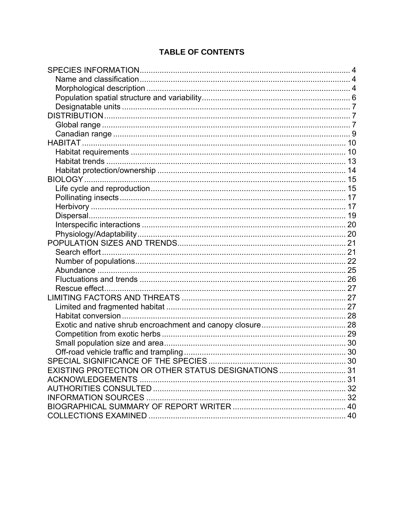## **TABLE OF CONTENTS**

| SPECIAL SIGNIFICANCE OF THE SPECIES                  |  |
|------------------------------------------------------|--|
| EXISTING PROTECTION OR OTHER STATUS DESIGNATIONS  31 |  |
|                                                      |  |
|                                                      |  |
|                                                      |  |
|                                                      |  |
|                                                      |  |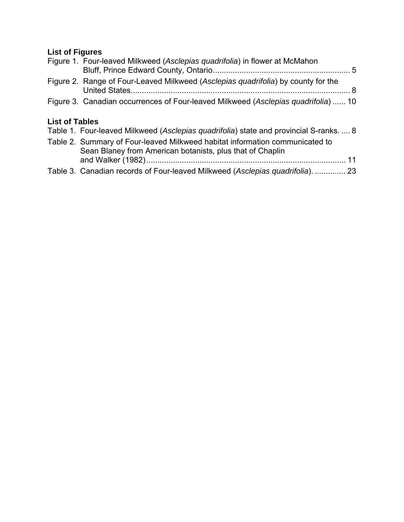# **List of Figures**

|                       | Figure 1. Four-leaved Milkweed (Asclepias quadrifolia) in flower at McMahon                                                               |
|-----------------------|-------------------------------------------------------------------------------------------------------------------------------------------|
|                       | Figure 2. Range of Four-Leaved Milkweed (Asclepias quadrifolia) by county for the                                                         |
|                       | Figure 3. Canadian occurrences of Four-leaved Milkweed (Asclepias quadrifolia)  10                                                        |
| <b>List of Tables</b> |                                                                                                                                           |
|                       | Table 1. Four-leaved Milkweed (Asclepias quadrifolia) state and provincial S-ranks.  8                                                    |
|                       | Table 2. Summary of Four-leaved Milkweed habitat information communicated to<br>Sean Blaney from American botanists, plus that of Chaplin |
|                       |                                                                                                                                           |
|                       | Table 3. Canadian records of Four-leaved Milkweed (Asclepias quadrifolia).  23                                                            |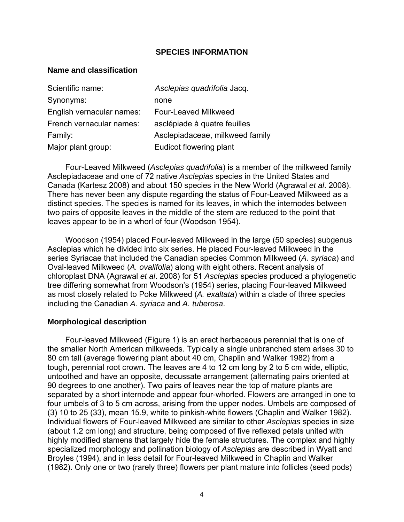#### **SPECIES INFORMATION**

#### **Name and classification**

| Scientific name:          | Asclepias quadrifolia Jacq.     |
|---------------------------|---------------------------------|
| Synonyms:                 | none                            |
| English vernacular names: | Four-Leaved Milkweed            |
| French vernacular names:  | asclépiade à quatre feuilles    |
| Family:                   | Asclepiadaceae, milkweed family |
| Major plant group:        | Eudicot flowering plant         |

Four-Leaved Milkweed (*Asclepias quadrifolia*) is a member of the milkweed family Asclepiadaceae and one of 72 native *Asclepias* species in the United States and Canada (Kartesz 2008) and about 150 species in the New World (Agrawal *et al*. 2008). There has never been any dispute regarding the status of Four-Leaved Milkweed as a distinct species. The species is named for its leaves, in which the internodes between two pairs of opposite leaves in the middle of the stem are reduced to the point that leaves appear to be in a whorl of four (Woodson 1954).

Woodson (1954) placed Four-leaved Milkweed in the large (50 species) subgenus Asclepias which he divided into six series. He placed Four-leaved Milkweed in the series Syriacae that included the Canadian species Common Milkweed (*A. syriaca*) and Oval-leaved Milkweed (*A. ovalifolia*) along with eight others. Recent analysis of chloroplast DNA (Agrawal *et al*. 2008) for 51 *Asclepias* species produced a phylogenetic tree differing somewhat from Woodson's (1954) series, placing Four-leaved Milkweed as most closely related to Poke Milkweed (*A. exaltata*) within a clade of three species including the Canadian *A. syriaca* and *A. tuberosa*.

#### **Morphological description**

Four-leaved Milkweed (Figure 1) is an erect herbaceous perennial that is one of the smaller North American milkweeds. Typically a single unbranched stem arises 30 to 80 cm tall (average flowering plant about 40 cm, Chaplin and Walker 1982) from a tough, perennial root crown. The leaves are 4 to 12 cm long by 2 to 5 cm wide, elliptic, untoothed and have an opposite, decussate arrangement (alternating pairs oriented at 90 degrees to one another). Two pairs of leaves near the top of mature plants are separated by a short internode and appear four-whorled. Flowers are arranged in one to four umbels of 3 to 5 cm across, arising from the upper nodes. Umbels are composed of (3) 10 to 25 (33), mean 15.9, white to pinkish-white flowers (Chaplin and Walker 1982). Individual flowers of Four-leaved Milkweed are similar to other *Asclepias* species in size (about 1.2 cm long) and structure, being composed of five reflexed petals united with highly modified stamens that largely hide the female structures. The complex and highly specialized morphology and pollination biology of *Asclepias* are described in Wyatt and Broyles (1994), and in less detail for Four-leaved Milkweed in Chaplin and Walker (1982). Only one or two (rarely three) flowers per plant mature into follicles (seed pods)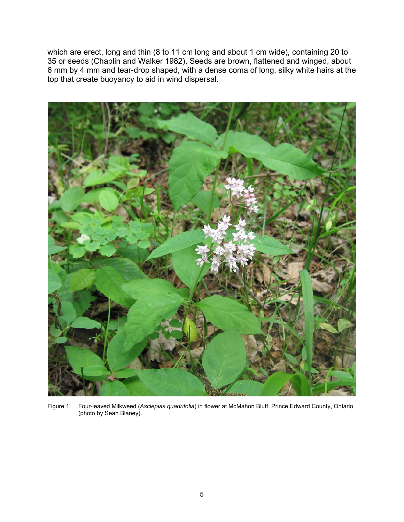which are erect, long and thin (8 to 11 cm long and about 1 cm wide), containing 20 to 35 or seeds (Chaplin and Walker 1982). Seeds are brown, flattened and winged, about 6 mm by 4 mm and tear-drop shaped, with a dense coma of long, silky white hairs at the top that create buoyancy to aid in wind dispersal.



Figure 1. Four-leaved Milkweed (*Asclepias quadrifolia*) in flower at McMahon Bluff, Prince Edward County, Ontario (photo by Sean Blaney).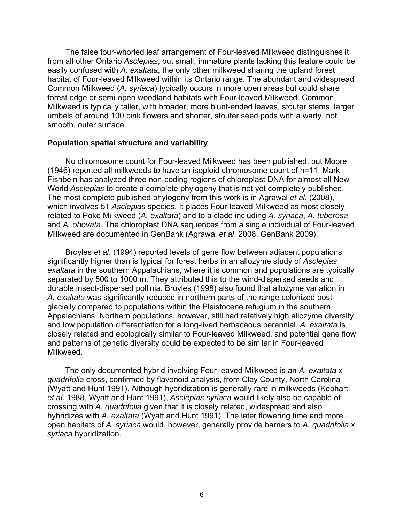The false four-whorled leaf arrangement of Four-leaved Milkweed distinguishes it from all other Ontario *Asclepias*, but small, immature plants lacking this feature could be easily confused with *A. exaltata*, the only other milkweed sharing the upland forest habitat of Four-leaved Milkweed within its Ontario range. The abundant and widespread Common Milkweed (*A. syriaca*) typically occurs in more open areas but could share forest edge or semi-open woodland habitats with Four-leaved Milkweed. Common Milkweed is typically taller, with broader, more blunt-ended leaves, stouter stems, larger umbels of around 100 pink flowers and shorter, stouter seed pods with a warty, not smooth, outer surface.

#### **Population spatial structure and variability**

No chromosome count for Four-leaved Milkweed has been published, but Moore (1946) reported all milkweeds to have an isoploid chromosome count of n=11. Mark Fishbein has analyzed three non-coding regions of chloroplast DNA for almost all New World *Asclepias* to create a complete phylogeny that is not yet completely published. The most complete published phylogeny from this work is in Agrawal *et al*. (2008), which involves 51 *Asclepias* species. It places Four-leaved Milkweed as most closely related to Poke Milkweed (*A. exaltata*) and to a clade including *A. syriaca*, *A. tuberosa* and *A. obovata*. The chloroplast DNA sequences from a single individual of Four-leaved Milkweed are documented in GenBank (Agrawal *et al*. 2008, GenBank 2009).

Broyles *et al*. (1994) reported levels of gene flow between adjacent populations significantly higher than is typical for forest herbs in an allozyme study of *Asclepias exaltata* in the southern Appalachians, where it is common and populations are typically separated by 500 to 1000 m. They attributed this to the wind-dispersed seeds and durable insect-dispersed pollinia. Broyles (1998) also found that allozyme variation in *A. exaltata* was significantly reduced in northern parts of the range colonized postglacially compared to populations within the Pleistocene refugium in the southern Appalachians. Northern populations, however, still had relatively high allozyme diversity and low population differentiation for a long-lived herbaceous perennial. *A. exaltata* is closely related and ecologically similar to Four-leaved Milkweed, and potential gene flow and patterns of genetic diversity could be expected to be similar in Four-leaved Milkweed.

The only documented hybrid involving Four-leaved Milkweed is an *A. exaltata* x *quadrifolia* cross, confirmed by flavonoid analysis, from Clay County, North Carolina (Wyatt and Hunt 1991). Although hybridization is generally rare in milkweeds (Kephart *et al*. 1988, Wyatt and Hunt 1991), *Asclepias syriaca* would likely also be capable of crossing with *A. quadrifolia* given that it is closely related, widespread and also hybridizes with *A. exaltata* (Wyatt and Hunt 1991). The later flowering time and more open habitats of *A. syriaca* would, however, generally provide barriers to *A. quadrifolia* x *syriaca* hybridization.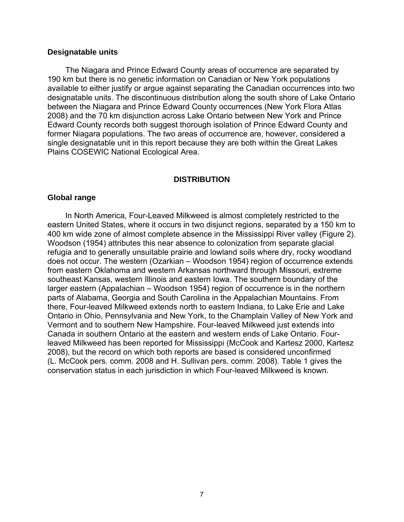#### **Designatable units**

The Niagara and Prince Edward County areas of occurrence are separated by 190 km but there is no genetic information on Canadian or New York populations available to either justify or argue against separating the Canadian occurrences into two designatable units. The discontinuous distribution along the south shore of Lake Ontario between the Niagara and Prince Edward County occurrences (New York Flora Atlas 2008) and the 70 km disjunction across Lake Ontario between New York and Prince Edward County records both suggest thorough isolation of Prince Edward County and former Niagara populations. The two areas of occurrence are, however, considered a single designatable unit in this report because they are both within the Great Lakes Plains COSEWIC National Ecological Area.

#### **DISTRIBUTION**

#### **Global range**

In North America, Four-Leaved Milkweed is almost completely restricted to the eastern United States, where it occurs in two disjunct regions, separated by a 150 km to 400 km wide zone of almost complete absence in the Mississippi River valley (Figure 2). Woodson (1954) attributes this near absence to colonization from separate glacial refugia and to generally unsuitable prairie and lowland soils where dry, rocky woodland does not occur. The western (Ozarkian – Woodson 1954) region of occurrence extends from eastern Oklahoma and western Arkansas northward through Missouri, extreme southeast Kansas, western Illinois and eastern Iowa. The southern boundary of the larger eastern (Appalachian – Woodson 1954) region of occurrence is in the northern parts of Alabama, Georgia and South Carolina in the Appalachian Mountains. From there, Four-leaved Milkweed extends north to eastern Indiana, to Lake Erie and Lake Ontario in Ohio, Pennsylvania and New York, to the Champlain Valley of New York and Vermont and to southern New Hampshire. Four-leaved Milkweed just extends into Canada in southern Ontario at the eastern and western ends of Lake Ontario. Fourleaved Milkweed has been reported for Mississippi (McCook and Kartesz 2000, Kartesz 2008), but the record on which both reports are based is considered unconfirmed (L. McCook pers. comm. 2008 and H. Sullivan pers. comm. 2008). Table 1 gives the conservation status in each jurisdiction in which Four-leaved Milkweed is known.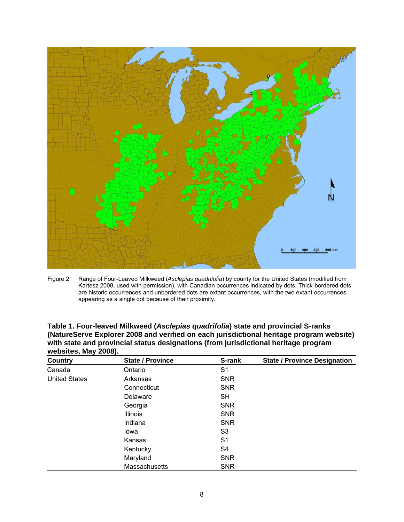

Figure 2. Range of Four-Leaved Milkweed (*Asclepias quadrifolia*) by county for the United States (modified from Kartesz 2008, used with permission), with Canadian occurrences indicated by dots. Thick-bordered dots are historic occurrences and unbordered dots are extant occurrences, with the two extant occurrences appearing as a single dot because of their proximity.

| Country                                                        | <b>State / Province</b> | S-rank         | <b>State / Province Designation</b> |
|----------------------------------------------------------------|-------------------------|----------------|-------------------------------------|
| Canada                                                         | Ontario                 | S <sub>1</sub> |                                     |
| <b>United States</b>                                           | Arkansas                | <b>SNR</b>     |                                     |
|                                                                | Connecticut             | <b>SNR</b>     |                                     |
|                                                                | Delaware                | SH             |                                     |
|                                                                | Georgia                 | <b>SNR</b>     |                                     |
|                                                                | <b>Illinois</b>         | <b>SNR</b>     |                                     |
|                                                                | Indiana                 | <b>SNR</b>     |                                     |
| lowa<br>Kansas<br>Kentucky<br>Maryland<br><b>Massachusetts</b> |                         | S3             |                                     |
|                                                                |                         | S1             |                                     |
|                                                                |                         | S4             |                                     |
|                                                                |                         | <b>SNR</b>     |                                     |
|                                                                | <b>SNR</b>              |                |                                     |

| Table 1. Four-leaved Milkweed (Asclepias quadrifolia) state and provincial S-ranks       |
|------------------------------------------------------------------------------------------|
| (NatureServe Explorer 2008 and verified on each jurisdictional heritage program website) |
| with state and provincial status designations (from jurisdictional heritage program      |
| websites, May 2008).                                                                     |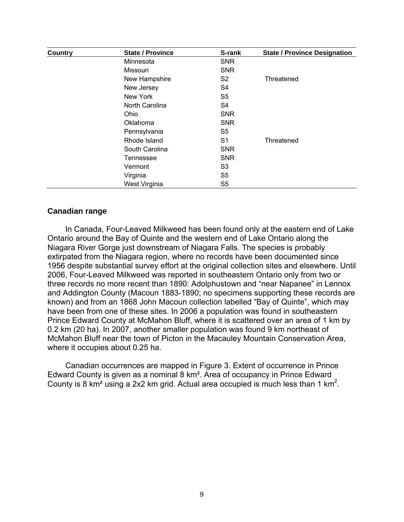| <b>Country</b> | <b>State / Province</b> | S-rank         | <b>State / Province Designation</b> |  |  |  |
|----------------|-------------------------|----------------|-------------------------------------|--|--|--|
|                | Minnesota               | <b>SNR</b>     |                                     |  |  |  |
|                | Missouri                | <b>SNR</b>     |                                     |  |  |  |
|                | New Hampshire           | S <sub>2</sub> | Threatened                          |  |  |  |
|                | New Jersey              | S4             |                                     |  |  |  |
|                | New York                | S <sub>5</sub> |                                     |  |  |  |
|                | North Carolina          | S <sub>4</sub> |                                     |  |  |  |
|                | Ohio                    | <b>SNR</b>     |                                     |  |  |  |
|                | Oklahoma                | <b>SNR</b>     |                                     |  |  |  |
|                | Pennsylvania            | S5             |                                     |  |  |  |
|                | Rhode Island            | S1             | Threatened                          |  |  |  |
|                | South Carolina          | <b>SNR</b>     |                                     |  |  |  |
|                | Tennessee               | <b>SNR</b>     |                                     |  |  |  |
|                | Vermont                 | S <sub>3</sub> |                                     |  |  |  |
|                | Virginia                | S <sub>5</sub> |                                     |  |  |  |
|                | West Virginia           | S <sub>5</sub> |                                     |  |  |  |

## **Canadian range**

In Canada, Four-Leaved Milkweed has been found only at the eastern end of Lake Ontario around the Bay of Quinte and the western end of Lake Ontario along the Niagara River Gorge just downstream of Niagara Falls. The species is probably extirpated from the Niagara region, where no records have been documented since 1956 despite substantial survey effort at the original collection sites and elsewhere. Until 2006, Four-Leaved Milkweed was reported in southeastern Ontario only from two or three records no more recent than 1890: Adolphustown and "near Napanee" in Lennox and Addington County (Macoun 1883-1890; no specimens supporting these records are known) and from an 1868 John Macoun collection labelled "Bay of Quinte", which may have been from one of these sites. In 2006 a population was found in southeastern Prince Edward County at McMahon Bluff, where it is scattered over an area of 1 km by 0.2 km (20 ha). In 2007, another smaller population was found 9 km northeast of McMahon Bluff near the town of Picton in the Macauley Mountain Conservation Area, where it occupies about 0.25 ha.

Canadian occurrences are mapped in Figure 3. Extent of occurrence in Prince Edward County is given as a nominal 8 km². Area of occupancy in Prince Edward County is 8 km<sup>2</sup> using a 2x2 km grid. Actual area occupied is much less than 1 km<sup>2</sup>.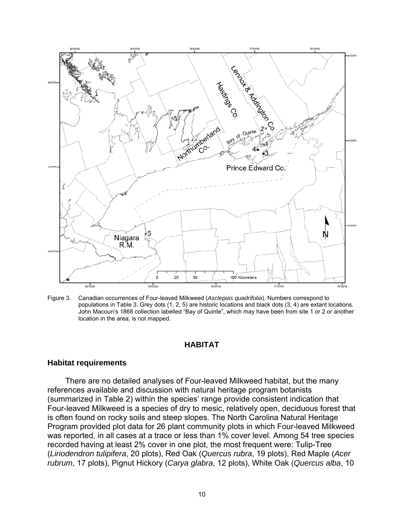

Figure 3. Canadian occurrences of Four-leaved Milkweed (*Asclepias quadrifolia*). Numbers correspond to populations in Table 3. Grey dots (1, 2, 5) are historic locations and black dots (3, 4) are extant locations. John Macoun's 1868 collection labelled "Bay of Quinte", which may have been from site 1 or 2 or another location in the area, is not mapped.

## **HABITAT**

#### **Habitat requirements**

There are no detailed analyses of Four-leaved Milkweed habitat, but the many references available and discussion with natural heritage program botanists (summarized in Table 2) within the species' range provide consistent indication that Four-leaved Milkweed is a species of dry to mesic, relatively open, deciduous forest that is often found on rocky soils and steep slopes. The North Carolina Natural Heritage Program provided plot data for 26 plant community plots in which Four-leaved Milkweed was reported, in all cases at a trace or less than 1% cover level. Among 54 tree species recorded having at least 2% cover in one plot, the most frequent were: Tulip-Tree (*Liriodendron tulipifera*, 20 plots), Red Oak (*Quercus rubra*, 19 plots), Red Maple (*Acer rubrum*, 17 plots), Pignut Hickory (*Carya glabra*, 12 plots), White Oak (*Quercus alba*, 10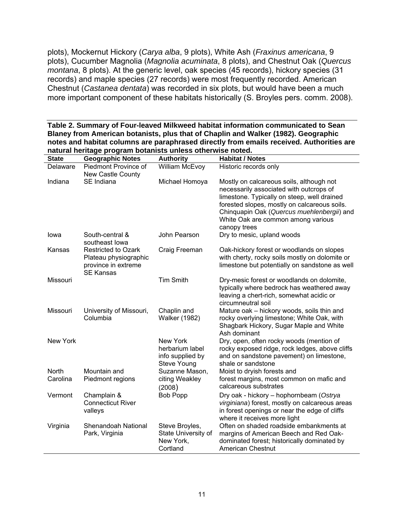plots), Mockernut Hickory (*Carya alba*, 9 plots), White Ash (*Fraxinus americana*, 9 plots), Cucumber Magnolia (*Magnolia acuminata*, 8 plots), and Chestnut Oak (*Quercus montana*, 8 plots). At the generic level, oak species (45 records), hickory species (31 records) and maple species (27 records) were most frequently recorded. American Chestnut (*Castanea dentata*) was recorded in six plots, but would have been a much more important component of these habitats historically (S. Broyles pers. comm. 2008).

**Table 2. Summary of Four-leaved Milkweed habitat information communicated to Sean Blaney from American botanists, plus that of Chaplin and Walker (1982). Geographic notes and habitat columns are paraphrased directly from emails received. Authorities are natural heritage program botanists unless otherwise noted.** 

| <b>State</b> | <b>Geographic Notes</b>                                                                        | <b>Authority</b>                                                      | <b>Habitat / Notes</b>                                                                                                                                                                                                                                                                 |
|--------------|------------------------------------------------------------------------------------------------|-----------------------------------------------------------------------|----------------------------------------------------------------------------------------------------------------------------------------------------------------------------------------------------------------------------------------------------------------------------------------|
| Delaware     | Piedmont Province of                                                                           | William McEvoy                                                        | Historic records only                                                                                                                                                                                                                                                                  |
|              | <b>New Castle County</b>                                                                       |                                                                       |                                                                                                                                                                                                                                                                                        |
| Indiana      | SE Indiana                                                                                     | Michael Homoya                                                        | Mostly on calcareous soils, although not<br>necessarily associated with outcrops of<br>limestone. Typically on steep, well drained<br>forested slopes, mostly on calcareous soils.<br>Chinquapin Oak (Quercus muehlenbergii) and<br>White Oak are common among various<br>canopy trees |
| lowa         | South-central &<br>southeast lowa                                                              | John Pearson                                                          | Dry to mesic, upland woods                                                                                                                                                                                                                                                             |
| Kansas       | <b>Restricted to Ozark</b><br>Plateau physiographic<br>province in extreme<br><b>SE Kansas</b> | Craig Freeman                                                         | Oak-hickory forest or woodlands on slopes<br>with cherty, rocky soils mostly on dolomite or<br>limestone but potentially on sandstone as well                                                                                                                                          |
| Missouri     |                                                                                                | <b>Tim Smith</b>                                                      | Dry-mesic forest or woodlands on dolomite,<br>typically where bedrock has weathered away<br>leaving a chert-rich, somewhat acidic or<br>circumneutral soil                                                                                                                             |
| Missouri     | University of Missouri,<br>Columbia                                                            | Chaplin and<br><b>Walker (1982)</b>                                   | Mature oak - hickory woods, soils thin and<br>rocky overlying limestone; White Oak, with<br>Shagbark Hickory, Sugar Maple and White<br>Ash dominant                                                                                                                                    |
| New York     |                                                                                                | New York<br>herbarium label<br>info supplied by<br><b>Steve Young</b> | Dry, open, often rocky woods (mention of<br>rocky exposed ridge, rock ledges, above cliffs<br>and on sandstone pavement) on limestone,<br>shale or sandstone                                                                                                                           |
| <b>North</b> | Mountain and                                                                                   | Suzanne Mason,                                                        | Moist to dryish forests and                                                                                                                                                                                                                                                            |
| Carolina     | Piedmont regions                                                                               | citing Weakley<br>(2008)                                              | forest margins, most common on mafic and<br>calcareous substrates                                                                                                                                                                                                                      |
| Vermont      | Champlain &<br><b>Connecticut River</b><br>valleys                                             | <b>Bob Popp</b>                                                       | Dry oak - hickory - hophornbeam (Ostrya<br>virginiana) forest, mostly on calcareous areas<br>in forest openings or near the edge of cliffs<br>where it receives more light                                                                                                             |
| Virginia     | Shenandoah National<br>Park, Virginia                                                          | Steve Broyles,<br>State University of<br>New York,<br>Cortland        | Often on shaded roadside embankments at<br>margins of American Beech and Red Oak-<br>dominated forest; historically dominated by<br><b>American Chestnut</b>                                                                                                                           |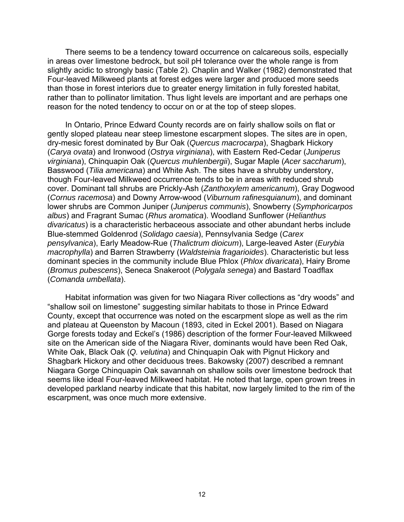There seems to be a tendency toward occurrence on calcareous soils, especially in areas over limestone bedrock, but soil pH tolerance over the whole range is from slightly acidic to strongly basic (Table 2). Chaplin and Walker (1982) demonstrated that Four-leaved Milkweed plants at forest edges were larger and produced more seeds than those in forest interiors due to greater energy limitation in fully forested habitat, rather than to pollinator limitation. Thus light levels are important and are perhaps one reason for the noted tendency to occur on or at the top of steep slopes.

In Ontario, Prince Edward County records are on fairly shallow soils on flat or gently sloped plateau near steep limestone escarpment slopes. The sites are in open, dry-mesic forest dominated by Bur Oak (*Quercus macrocarpa*), Shagbark Hickory (*Carya ovata*) and Ironwood (*Ostrya virginiana*), with Eastern Red-Cedar (*Juniperus virginiana*), Chinquapin Oak (*Quercus muhlenbergii*), Sugar Maple (*Acer saccharum*), Basswood (*Tilia americana*) and White Ash. The sites have a shrubby understory, though Four-leaved Milkweed occurrence tends to be in areas with reduced shrub cover. Dominant tall shrubs are Prickly-Ash (*Zanthoxylem americanum*), Gray Dogwood (*Cornus racemosa*) and Downy Arrow-wood (*Viburnum rafinesquianum*), and dominant lower shrubs are Common Juniper (*Juniperus communis*), Snowberry (*Symphoricarpos albus*) and Fragrant Sumac (*Rhus aromatica*). Woodland Sunflower (*Helianthus divaricatus*) is a characteristic herbaceous associate and other abundant herbs include Blue-stemmed Goldenrod (*Solidago caesia*), Pennsylvania Sedge (*Carex pensylvanica*), Early Meadow-Rue (*Thalictrum dioicum*), Large-leaved Aster (*Eurybia macrophylla*) and Barren Strawberry (*Waldsteinia fragarioides*). Characteristic but less dominant species in the community include Blue Phlox (*Phlox divaricata*), Hairy Brome (*Bromus pubescens*), Seneca Snakeroot (*Polygala senega*) and Bastard Toadflax (*Comanda umbellata*).

Habitat information was given for two Niagara River collections as "dry woods" and "shallow soil on limestone" suggesting similar habitats to those in Prince Edward County, except that occurrence was noted on the escarpment slope as well as the rim and plateau at Queenston by Macoun (1893, cited in Eckel 2001). Based on Niagara Gorge forests today and Eckel's (1986) description of the former Four-leaved Milkweed site on the American side of the Niagara River, dominants would have been Red Oak, White Oak, Black Oak (*Q. velutina*) and Chinquapin Oak with Pignut Hickory and Shagbark Hickory and other deciduous trees. Bakowsky (2007) described a remnant Niagara Gorge Chinquapin Oak savannah on shallow soils over limestone bedrock that seems like ideal Four-leaved Milkweed habitat. He noted that large, open grown trees in developed parkland nearby indicate that this habitat, now largely limited to the rim of the escarpment, was once much more extensive.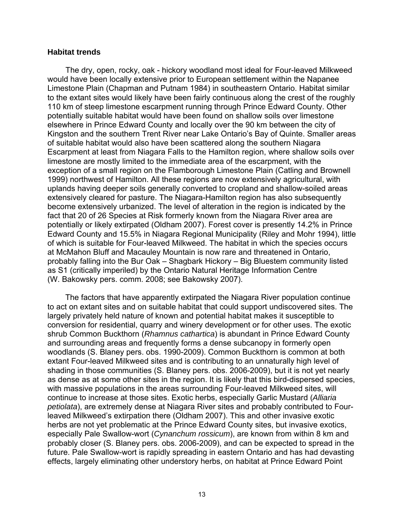#### **Habitat trends**

The dry, open, rocky, oak - hickory woodland most ideal for Four-leaved Milkweed would have been locally extensive prior to European settlement within the Napanee Limestone Plain (Chapman and Putnam 1984) in southeastern Ontario. Habitat similar to the extant sites would likely have been fairly continuous along the crest of the roughly 110 km of steep limestone escarpment running through Prince Edward County. Other potentially suitable habitat would have been found on shallow soils over limestone elsewhere in Prince Edward County and locally over the 90 km between the city of Kingston and the southern Trent River near Lake Ontario's Bay of Quinte. Smaller areas of suitable habitat would also have been scattered along the southern Niagara Escarpment at least from Niagara Falls to the Hamilton region, where shallow soils over limestone are mostly limited to the immediate area of the escarpment, with the exception of a small region on the Flamborough Limestone Plain (Catling and Brownell 1999) northwest of Hamilton. All these regions are now extensively agricultural, with uplands having deeper soils generally converted to cropland and shallow-soiled areas extensively cleared for pasture. The Niagara-Hamilton region has also subsequently become extensively urbanized. The level of alteration in the region is indicated by the fact that 20 of 26 Species at Risk formerly known from the Niagara River area are potentially or likely extirpated (Oldham 2007). Forest cover is presently 14.2% in Prince Edward County and 15.5% in Niagara Regional Municipality (Riley and Mohr 1994), little of which is suitable for Four-leaved Milkweed. The habitat in which the species occurs at McMahon Bluff and Macauley Mountain is now rare and threatened in Ontario, probably falling into the Bur Oak – Shagbark Hickory – Big Bluestem community listed as S1 (critically imperiled) by the Ontario Natural Heritage Information Centre (W. Bakowsky pers. comm. 2008; see Bakowsky 2007).

The factors that have apparently extirpated the Niagara River population continue to act on extant sites and on suitable habitat that could support undiscovered sites. The largely privately held nature of known and potential habitat makes it susceptible to conversion for residential, quarry and winery development or for other uses. The exotic shrub Common Buckthorn (*Rhamnus cathartica*) is abundant in Prince Edward County and surrounding areas and frequently forms a dense subcanopy in formerly open woodlands (S. Blaney pers. obs. 1990-2009). Common Buckthorn is common at both extant Four-leaved Milkweed sites and is contributing to an unnaturally high level of shading in those communities (S. Blaney pers. obs. 2006-2009), but it is not yet nearly as dense as at some other sites in the region. It is likely that this bird-dispersed species, with massive populations in the areas surrounding Four-leaved Milkweed sites, will continue to increase at those sites. Exotic herbs, especially Garlic Mustard (*Alliaria petiolata*), are extremely dense at Niagara River sites and probably contributed to Fourleaved Milkweed's extirpation there (Oldham 2007). This and other invasive exotic herbs are not yet problematic at the Prince Edward County sites, but invasive exotics, especially Pale Swallow-wort (*Cynanchum rossicum*), are known from within 8 km and probably closer (S. Blaney pers. obs. 2006-2009), and can be expected to spread in the future. Pale Swallow-wort is rapidly spreading in eastern Ontario and has had devasting effects, largely eliminating other understory herbs, on habitat at Prince Edward Point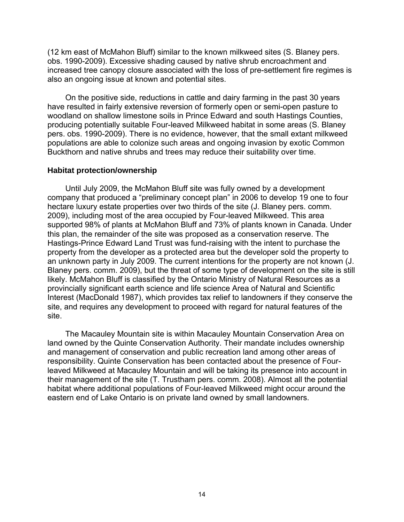(12 km east of McMahon Bluff) similar to the known milkweed sites (S. Blaney pers. obs. 1990-2009). Excessive shading caused by native shrub encroachment and increased tree canopy closure associated with the loss of pre-settlement fire regimes is also an ongoing issue at known and potential sites.

On the positive side, reductions in cattle and dairy farming in the past 30 years have resulted in fairly extensive reversion of formerly open or semi-open pasture to woodland on shallow limestone soils in Prince Edward and south Hastings Counties, producing potentially suitable Four-leaved Milkweed habitat in some areas (S. Blaney pers. obs. 1990-2009). There is no evidence, however, that the small extant milkweed populations are able to colonize such areas and ongoing invasion by exotic Common Buckthorn and native shrubs and trees may reduce their suitability over time.

#### **Habitat protection/ownership**

Until July 2009, the McMahon Bluff site was fully owned by a development company that produced a "preliminary concept plan" in 2006 to develop 19 one to four hectare luxury estate properties over two thirds of the site (J. Blaney pers. comm. 2009), including most of the area occupied by Four-leaved Milkweed. This area supported 98% of plants at McMahon Bluff and 73% of plants known in Canada. Under this plan, the remainder of the site was proposed as a conservation reserve. The Hastings-Prince Edward Land Trust was fund-raising with the intent to purchase the property from the developer as a protected area but the developer sold the property to an unknown party in July 2009. The current intentions for the property are not known (J. Blaney pers. comm. 2009), but the threat of some type of development on the site is still likely. McMahon Bluff is classified by the Ontario Ministry of Natural Resources as a provincially significant earth science and life science Area of Natural and Scientific Interest (MacDonald 1987), which provides tax relief to landowners if they conserve the site, and requires any development to proceed with regard for natural features of the site.

The Macauley Mountain site is within Macauley Mountain Conservation Area on land owned by the Quinte Conservation Authority. Their mandate includes ownership and management of conservation and public recreation land among other areas of responsibility. Quinte Conservation has been contacted about the presence of Fourleaved Milkweed at Macauley Mountain and will be taking its presence into account in their management of the site (T. Trustham pers. comm. 2008). Almost all the potential habitat where additional populations of Four-leaved Milkweed might occur around the eastern end of Lake Ontario is on private land owned by small landowners.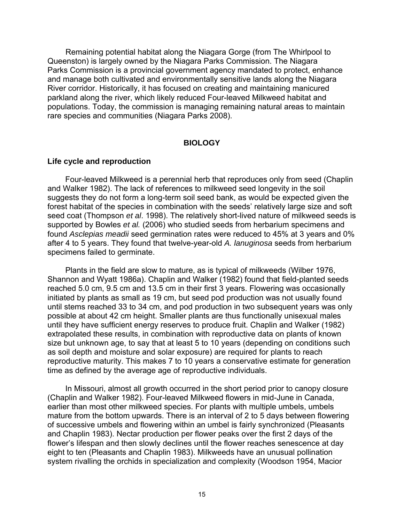Remaining potential habitat along the Niagara Gorge (from The Whirlpool to Queenston) is largely owned by the Niagara Parks Commission. The Niagara Parks Commission is a provincial government agency mandated to protect, enhance and manage both cultivated and environmentally sensitive lands along the Niagara River corridor. Historically, it has focused on creating and maintaining manicured parkland along the river, which likely reduced Four-leaved Milkweed habitat and populations. Today, the commission is managing remaining natural areas to maintain rare species and communities (Niagara Parks 2008).

## **BIOLOGY**

#### **Life cycle and reproduction**

Four-leaved Milkweed is a perennial herb that reproduces only from seed (Chaplin and Walker 1982). The lack of references to milkweed seed longevity in the soil suggests they do not form a long-term soil seed bank, as would be expected given the forest habitat of the species in combination with the seeds' relatively large size and soft seed coat (Thompson *et al*. 1998). The relatively short-lived nature of milkweed seeds is supported by Bowles *et al.* (2006) who studied seeds from herbarium specimens and found *Asclepias meadii* seed germination rates were reduced to 45% at 3 years and 0% after 4 to 5 years. They found that twelve-year-old *A. lanuginosa* seeds from herbarium specimens failed to germinate.

Plants in the field are slow to mature, as is typical of milkweeds (Wilber 1976, Shannon and Wyatt 1986a). Chaplin and Walker (1982) found that field-planted seeds reached 5.0 cm, 9.5 cm and 13.5 cm in their first 3 years. Flowering was occasionally initiated by plants as small as 19 cm, but seed pod production was not usually found until stems reached 33 to 34 cm, and pod production in two subsequent years was only possible at about 42 cm height. Smaller plants are thus functionally unisexual males until they have sufficient energy reserves to produce fruit. Chaplin and Walker (1982) extrapolated these results, in combination with reproductive data on plants of known size but unknown age, to say that at least 5 to 10 years (depending on conditions such as soil depth and moisture and solar exposure) are required for plants to reach reproductive maturity. This makes 7 to 10 years a conservative estimate for generation time as defined by the average age of reproductive individuals.

In Missouri, almost all growth occurred in the short period prior to canopy closure (Chaplin and Walker 1982). Four-leaved Milkweed flowers in mid-June in Canada, earlier than most other milkweed species. For plants with multiple umbels, umbels mature from the bottom upwards. There is an interval of 2 to 5 days between flowering of successive umbels and flowering within an umbel is fairly synchronized (Pleasants and Chaplin 1983). Nectar production per flower peaks over the first 2 days of the flower's lifespan and then slowly declines until the flower reaches senescence at day eight to ten (Pleasants and Chaplin 1983). Milkweeds have an unusual pollination system rivalling the orchids in specialization and complexity (Woodson 1954, Macior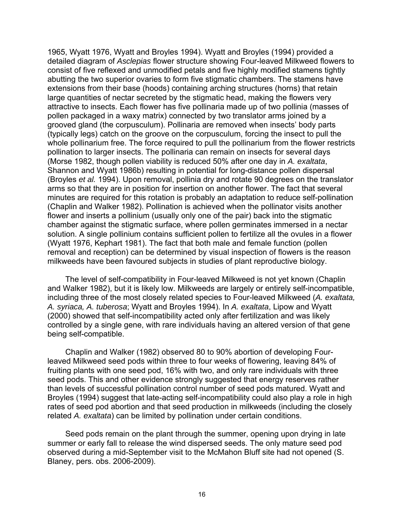1965, Wyatt 1976, Wyatt and Broyles 1994). Wyatt and Broyles (1994) provided a detailed diagram of *Asclepias* flower structure showing Four-leaved Milkweed flowers to consist of five reflexed and unmodified petals and five highly modified stamens tightly abutting the two superior ovaries to form five stigmatic chambers. The stamens have extensions from their base (hoods) containing arching structures (horns) that retain large quantities of nectar secreted by the stigmatic head, making the flowers very attractive to insects. Each flower has five pollinaria made up of two pollinia (masses of pollen packaged in a waxy matrix) connected by two translator arms joined by a grooved gland (the corpusculum). Pollinaria are removed when insects' body parts (typically legs) catch on the groove on the corpusculum, forcing the insect to pull the whole pollinarium free. The force required to pull the pollinarium from the flower restricts pollination to larger insects. The pollinaria can remain on insects for several days (Morse 1982, though pollen viability is reduced 50% after one day in *A. exaltata*, Shannon and Wyatt 1986b) resulting in potential for long-distance pollen dispersal (Broyles *et al.* 1994). Upon removal, pollinia dry and rotate 90 degrees on the translator arms so that they are in position for insertion on another flower. The fact that several minutes are required for this rotation is probably an adaptation to reduce self-pollination (Chaplin and Walker 1982). Pollination is achieved when the pollinator visits another flower and inserts a pollinium (usually only one of the pair) back into the stigmatic chamber against the stigmatic surface, where pollen germinates immersed in a nectar solution. A single pollinium contains sufficient pollen to fertilize all the ovules in a flower (Wyatt 1976, Kephart 1981). The fact that both male and female function (pollen removal and reception) can be determined by visual inspection of flowers is the reason milkweeds have been favoured subjects in studies of plant reproductive biology.

The level of self-compatibility in Four-leaved Milkweed is not yet known (Chaplin and Walker 1982), but it is likely low. Milkweeds are largely or entirely self-incompatible, including three of the most closely related species to Four-leaved Milkweed (*A. exaltata, A. syriaca, A. tuberosa*; Wyatt and Broyles 1994). In *A. exaltata*, Lipow and Wyatt (2000) showed that self-incompatibility acted only after fertilization and was likely controlled by a single gene, with rare individuals having an altered version of that gene being self-compatible.

Chaplin and Walker (1982) observed 80 to 90% abortion of developing Fourleaved Milkweed seed pods within three to four weeks of flowering, leaving 84% of fruiting plants with one seed pod, 16% with two, and only rare individuals with three seed pods. This and other evidence strongly suggested that energy reserves rather than levels of successful pollination control number of seed pods matured. Wyatt and Broyles (1994) suggest that late-acting self-incompatibility could also play a role in high rates of seed pod abortion and that seed production in milkweeds (including the closely related *A. exaltata*) can be limited by pollination under certain conditions.

Seed pods remain on the plant through the summer, opening upon drying in late summer or early fall to release the wind dispersed seeds. The only mature seed pod observed during a mid-September visit to the McMahon Bluff site had not opened (S. Blaney, pers. obs. 2006-2009).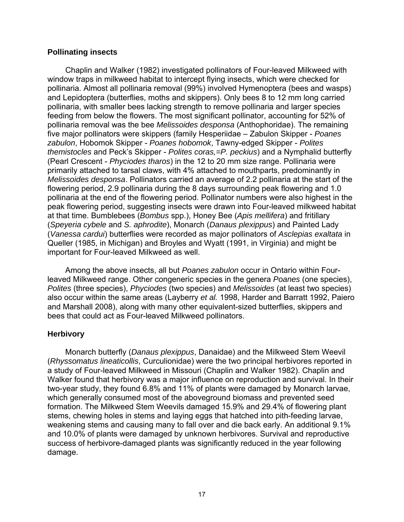## **Pollinating insects**

Chaplin and Walker (1982) investigated pollinators of Four-leaved Milkweed with window traps in milkweed habitat to intercept flying insects, which were checked for pollinaria. Almost all pollinaria removal (99%) involved Hymenoptera (bees and wasps) and Lepidoptera (butterflies, moths and skippers). Only bees 8 to 12 mm long carried pollinaria, with smaller bees lacking strength to remove pollinaria and larger species feeding from below the flowers. The most significant pollinator, accounting for 52% of pollinaria removal was the bee *Melissoides desponsa* (Anthophoridae). The remaining five major pollinators were skippers (family Hesperiidae – Zabulon Skipper - *Poanes zabulon*, Hobomok Skipper - *Poanes hobomok*, Tawny-edged Skipper - *Polites themistocles* and Peck's Skipper - *Polites coras,=P. peckius*) and a Nymphalid butterfly (Pearl Crescent - *Phyciodes tharos*) in the 12 to 20 mm size range. Pollinaria were primarily attached to tarsal claws, with 4% attached to mouthparts, predominantly in *Melissoides desponsa*. Pollinators carried an average of 2.2 pollinaria at the start of the flowering period, 2.9 pollinaria during the 8 days surrounding peak flowering and 1.0 pollinaria at the end of the flowering period. Pollinator numbers were also highest in the peak flowering period, suggesting insects were drawn into Four-leaved milkweed habitat at that time. Bumblebees (*Bombus* spp.), Honey Bee (*Apis mellifera*) and fritillary (*Speyeria cybele* and *S. aphrodite*), Monarch (*Danaus plexippus*) and Painted Lady (*Vanessa cardui*) butterflies were recorded as major pollinators of *Asclepias exaltata* in Queller (1985, in Michigan) and Broyles and Wyatt (1991, in Virginia) and might be important for Four-leaved Milkweed as well.

Among the above insects, all but *Poanes zabulon* occur in Ontario within Fourleaved Milkweed range. Other congeneric species in the genera *Poanes* (one species), *Polites* (three species), *Phyciodes* (two species) and *Melissoides* (at least two species) also occur within the same areas (Layberry *et al.* 1998, Harder and Barratt 1992, Paiero and Marshall 2008), along with many other equivalent-sized butterflies, skippers and bees that could act as Four-leaved Milkweed pollinators.

## **Herbivory**

Monarch butterfly (*Danaus plexippus*, Danaidae) and the Milkweed Stem Weevil (*Rhyssomatus lineaticollis*, Curculionidae) were the two principal herbivores reported in a study of Four-leaved Milkweed in Missouri (Chaplin and Walker 1982). Chaplin and Walker found that herbivory was a major influence on reproduction and survival. In their two-year study, they found 6.8% and 11% of plants were damaged by Monarch larvae, which generally consumed most of the aboveground biomass and prevented seed formation. The Milkweed Stem Weevils damaged 15.9% and 29.4% of flowering plant stems, chewing holes in stems and laying eggs that hatched into pith-feeding larvae, weakening stems and causing many to fall over and die back early. An additional 9.1% and 10.0% of plants were damaged by unknown herbivores. Survival and reproductive success of herbivore-damaged plants was significantly reduced in the year following damage.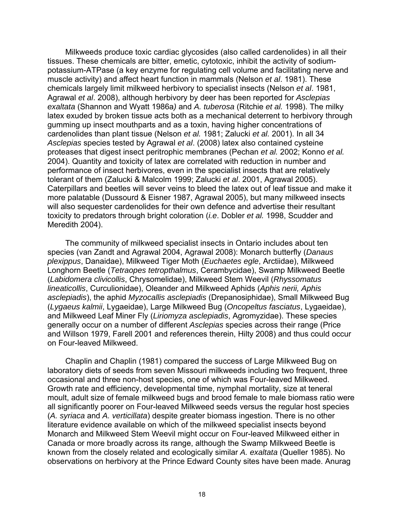Milkweeds produce toxic cardiac glycosides (also called cardenolides) in all their tissues. These chemicals are bitter, emetic, cytotoxic, inhibit the activity of sodiumpotassium-ATPase (a key enzyme for regulating cell volume and facilitating nerve and muscle activity) and affect heart function in mammals (Nelson *et al*. 1981). These chemicals largely limit milkweed herbivory to specialist insects (Nelson *et al*. 1981, Agrawal *et al*. 2008), although herbivory by deer has been reported for *Asclepias exaltata* (Shannon and Wyatt 1986a*)* and *A. tuberosa* (Ritchie *et al.* 1998). The milky latex exuded by broken tissue acts both as a mechanical deterrent to herbivory through gumming up insect mouthparts and as a toxin, having higher concentrations of cardenolides than plant tissue (Nelson *et al.* 1981; Zalucki *et al.* 2001). In all 34 *Asclepias* species tested by Agrawal *et al*. (2008) latex also contained cysteine proteases that digest insect peritrophic membranes (Pechan *et al.* 2002; Konno *et al.* 2004). Quantity and toxicity of latex are correlated with reduction in number and performance of insect herbivores, even in the specialist insects that are relatively tolerant of them (Zalucki & Malcolm 1999; Zalucki *et al*. 2001, Agrawal 2005). Caterpillars and beetles will sever veins to bleed the latex out of leaf tissue and make it more palatable (Dussourd & Eisner 1987, Agrawal 2005), but many milkweed insects will also sequester cardenolides for their own defence and advertise their resultant toxicity to predators through bright coloration (*i.e*. Dobler *et al.* 1998, Scudder and Meredith 2004).

The community of milkweed specialist insects in Ontario includes about ten species (van Zandt and Agrawal 2004, Agrawal 2008): Monarch butterfly (*Danaus plexippus*, Danaidae), Milkweed Tiger Moth (*Euchaetes egle*, Arctiidae), Milkweed Longhorn Beetle (*Tetraopes tetropthalmus*, Cerambycidae), Swamp Milkweed Beetle (*Labidomera clivicollis*, Chrysomelidae), Milkweed Stem Weevil (*Rhyssomatus lineaticollis*, Curculionidae), Oleander and Milkweed Aphids (*Aphis nerii, Aphis asclepiadis*), the aphid *Myzocallis asclepiadis* (Drepanosiphidae), Small Milkweed Bug (*Lygaeus kalmii*, Lygaeidae), Large Milkweed Bug (*Oncopeltus fasciatus*, Lygaeidae), and Milkweed Leaf Miner Fly (*Liriomyza asclepiadis*, Agromyzidae). These species generally occur on a number of different *Asclepias* species across their range (Price and Willson 1979, Farell 2001 and references therein, Hilty 2008) and thus could occur on Four-leaved Milkweed.

Chaplin and Chaplin (1981) compared the success of Large Milkweed Bug on laboratory diets of seeds from seven Missouri milkweeds including two frequent, three occasional and three non-host species, one of which was Four-leaved Milkweed. Growth rate and efficiency, developmental time, nymphal mortality, size at teneral moult, adult size of female milkweed bugs and brood female to male biomass ratio were all significantly poorer on Four-leaved Milkweed seeds versus the regular host species (*A. syriaca* and *A. verticillata*) despite greater biomass ingestion. There is no other literature evidence available on which of the milkweed specialist insects beyond Monarch and Milkweed Stem Weevil might occur on Four-leaved Milkweed either in Canada or more broadly across its range, although the Swamp Milkweed Beetle is known from the closely related and ecologically similar *A. exaltata* (Queller 1985). No observations on herbivory at the Prince Edward County sites have been made. Anurag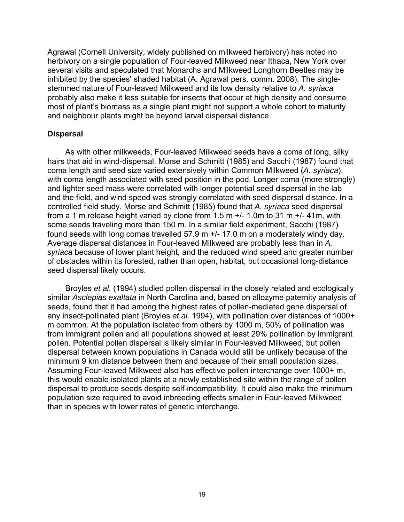Agrawal (Cornell University, widely published on milkweed herbivory) has noted no herbivory on a single population of Four-leaved Milkweed near Ithaca, New York over several visits and speculated that Monarchs and Milkweed Longhorn Beetles may be inhibited by the species' shaded habitat (A. Agrawal pers. comm. 2008). The singlestemmed nature of Four-leaved Milkweed and its low density relative to *A. syriaca* probably also make it less suitable for insects that occur at high density and consume most of plant's biomass as a single plant might not support a whole cohort to maturity and neighbour plants might be beyond larval dispersal distance.

#### **Dispersal**

As with other milkweeds, Four-leaved Milkweed seeds have a coma of long, silky hairs that aid in wind-dispersal. Morse and Schmitt (1985) and Sacchi (1987) found that coma length and seed size varied extensively within Common Milkweed (*A. syriaca*), with coma length associated with seed position in the pod. Longer coma (more strongly) and lighter seed mass were correlated with longer potential seed dispersal in the lab and the field, and wind speed was strongly correlated with seed dispersal distance. In a controlled field study, Morse and Schmitt (1985) found that *A. syriaca* seed dispersal from a 1 m release height varied by clone from  $1.5$  m  $+/-$  1.0m to 31 m  $+/-$  41m, with some seeds traveling more than 150 m. In a similar field experiment, Sacchi (1987) found seeds with long comas travelled 57.9 m +/- 17.0 m on a moderately windy day. Average dispersal distances in Four-leaved Milkweed are probably less than in *A. syriaca* because of lower plant height, and the reduced wind speed and greater number of obstacles within its forested, rather than open, habitat, but occasional long-distance seed dispersal likely occurs.

Broyles *et al*. (1994) studied pollen dispersal in the closely related and ecologically similar *Asclepias exaltata* in North Carolina and, based on allozyme paternity analysis of seeds, found that it had among the highest rates of pollen-mediated gene dispersal of any insect-pollinated plant (Broyles *et al.* 1994), with pollination over distances of 1000+ m common. At the population isolated from others by 1000 m, 50% of pollination was from immigrant pollen and all populations showed at least 29% pollination by immigrant pollen. Potential pollen dispersal is likely similar in Four-leaved Milkweed, but pollen dispersal between known populations in Canada would still be unlikely because of the minimum 9 km distance between them and because of their small population sizes. Assuming Four-leaved Milkweed also has effective pollen interchange over 1000+ m, this would enable isolated plants at a newly established site within the range of pollen dispersal to produce seeds despite self-incompatibility. It could also make the minimum population size required to avoid inbreeding effects smaller in Four-leaved Milkweed than in species with lower rates of genetic interchange.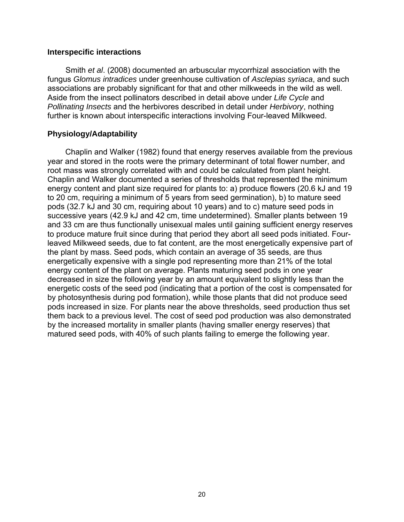#### **Interspecific interactions**

Smith *et al*. (2008) documented an arbuscular mycorrhizal association with the fungus *Glomus intradices* under greenhouse cultivation of *Asclepias syriaca*, and such associations are probably significant for that and other milkweeds in the wild as well. Aside from the insect pollinators described in detail above under *Life Cycle* and *Pollinating Insects* and the herbivores described in detail under *Herbivory*, nothing further is known about interspecific interactions involving Four-leaved Milkweed.

## **Physiology/Adaptability**

Chaplin and Walker (1982) found that energy reserves available from the previous year and stored in the roots were the primary determinant of total flower number, and root mass was strongly correlated with and could be calculated from plant height. Chaplin and Walker documented a series of thresholds that represented the minimum energy content and plant size required for plants to: a) produce flowers (20.6 kJ and 19 to 20 cm, requiring a minimum of 5 years from seed germination), b) to mature seed pods (32.7 kJ and 30 cm, requiring about 10 years) and to c) mature seed pods in successive years (42.9 kJ and 42 cm, time undetermined). Smaller plants between 19 and 33 cm are thus functionally unisexual males until gaining sufficient energy reserves to produce mature fruit since during that period they abort all seed pods initiated. Fourleaved Milkweed seeds, due to fat content, are the most energetically expensive part of the plant by mass. Seed pods, which contain an average of 35 seeds, are thus energetically expensive with a single pod representing more than 21% of the total energy content of the plant on average. Plants maturing seed pods in one year decreased in size the following year by an amount equivalent to slightly less than the energetic costs of the seed pod (indicating that a portion of the cost is compensated for by photosynthesis during pod formation), while those plants that did not produce seed pods increased in size. For plants near the above thresholds, seed production thus set them back to a previous level. The cost of seed pod production was also demonstrated by the increased mortality in smaller plants (having smaller energy reserves) that matured seed pods, with 40% of such plants failing to emerge the following year.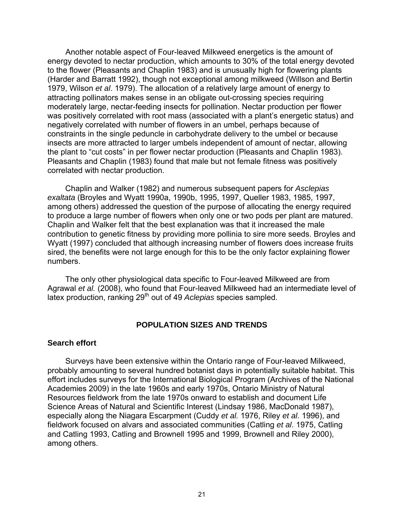Another notable aspect of Four-leaved Milkweed energetics is the amount of energy devoted to nectar production, which amounts to 30% of the total energy devoted to the flower (Pleasants and Chaplin 1983) and is unusually high for flowering plants (Harder and Barratt 1992), though not exceptional among milkweed (Willson and Bertin 1979, Wilson *et al*. 1979). The allocation of a relatively large amount of energy to attracting pollinators makes sense in an obligate out-crossing species requiring moderately large, nectar-feeding insects for pollination. Nectar production per flower was positively correlated with root mass (associated with a plant's energetic status) and negatively correlated with number of flowers in an umbel, perhaps because of constraints in the single peduncle in carbohydrate delivery to the umbel or because insects are more attracted to larger umbels independent of amount of nectar, allowing the plant to "cut costs" in per flower nectar production (Pleasants and Chaplin 1983). Pleasants and Chaplin (1983) found that male but not female fitness was positively correlated with nectar production.

Chaplin and Walker (1982) and numerous subsequent papers for *Asclepias exaltata* (Broyles and Wyatt 1990a, 1990b, 1995, 1997, Queller 1983, 1985, 1997, among others) addressed the question of the purpose of allocating the energy required to produce a large number of flowers when only one or two pods per plant are matured. Chaplin and Walker felt that the best explanation was that it increased the male contribution to genetic fitness by providing more pollinia to sire more seeds. Broyles and Wyatt (1997) concluded that although increasing number of flowers does increase fruits sired, the benefits were not large enough for this to be the only factor explaining flower numbers.

The only other physiological data specific to Four-leaved Milkweed are from Agrawal *et al.* (2008), who found that Four-leaved Milkweed had an intermediate level of latex production, ranking 29<sup>th</sup> out of 49 *Aclepias* species sampled.

#### **POPULATION SIZES AND TRENDS**

#### **Search effort**

Surveys have been extensive within the Ontario range of Four-leaved Milkweed, probably amounting to several hundred botanist days in potentially suitable habitat. This effort includes surveys for the International Biological Program (Archives of the National Academies 2009) in the late 1960s and early 1970s, Ontario Ministry of Natural Resources fieldwork from the late 1970s onward to establish and document Life Science Areas of Natural and Scientific Interest (Lindsay 1986, MacDonald 1987), especially along the Niagara Escarpment (Cuddy *et al.* 1976, Riley *et al.* 1996), and fieldwork focused on alvars and associated communities (Catling *et al*. 1975, Catling and Catling 1993, Catling and Brownell 1995 and 1999, Brownell and Riley 2000), among others.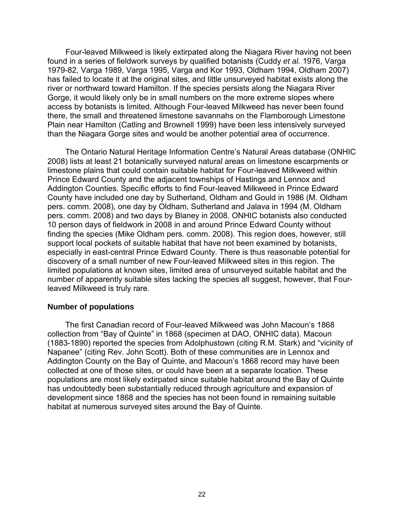Four-leaved Milkweed is likely extirpated along the Niagara River having not been found in a series of fieldwork surveys by qualified botanists (Cuddy *et al.* 1976, Varga 1979-82, Varga 1989, Varga 1995, Varga and Kor 1993, Oldham 1994, Oldham 2007) has failed to locate it at the original sites, and little unsurveyed habitat exists along the river or northward toward Hamilton. If the species persists along the Niagara River Gorge, it would likely only be in small numbers on the more extreme slopes where access by botanists is limited. Although Four-leaved Milkweed has never been found there, the small and threatened limestone savannahs on the Flamborough Limestone Plain near Hamilton (Catling and Brownell 1999) have been less intensively surveyed than the Niagara Gorge sites and would be another potential area of occurrence.

The Ontario Natural Heritage Information Centre's Natural Areas database (ONHIC 2008) lists at least 21 botanically surveyed natural areas on limestone escarpments or limestone plains that could contain suitable habitat for Four-leaved Milkweed within Prince Edward County and the adjacent townships of Hastings and Lennox and Addington Counties. Specific efforts to find Four-leaved Milkweed in Prince Edward County have included one day by Sutherland, Oldham and Gould in 1986 (M. Oldham pers. comm. 2008), one day by Oldham, Sutherland and Jalava in 1994 (M. Oldham pers. comm. 2008) and two days by Blaney in 2008. ONHIC botanists also conducted 10 person days of fieldwork in 2008 in and around Prince Edward County without finding the species (Mike Oldham pers. comm. 2008). This region does, however, still support local pockets of suitable habitat that have not been examined by botanists, especially in east-central Prince Edward County. There is thus reasonable potential for discovery of a small number of new Four-leaved Milkweed sites in this region. The limited populations at known sites, limited area of unsurveyed suitable habitat and the number of apparently suitable sites lacking the species all suggest, however, that Fourleaved Milkweed is truly rare.

#### **Number of populations**

The first Canadian record of Four-leaved Milkweed was John Macoun's 1868 collection from "Bay of Quinte" in 1868 (specimen at DAO, ONHIC data). Macoun (1883-1890) reported the species from Adolphustown (citing R.M. Stark) and "vicinity of Napanee" (citing Rev. John Scott). Both of these communities are in Lennox and Addington County on the Bay of Quinte, and Macoun's 1868 record may have been collected at one of those sites, or could have been at a separate location. These populations are most likely extirpated since suitable habitat around the Bay of Quinte has undoubtedly been substantially reduced through agriculture and expansion of development since 1868 and the species has not been found in remaining suitable habitat at numerous surveyed sites around the Bay of Quinte.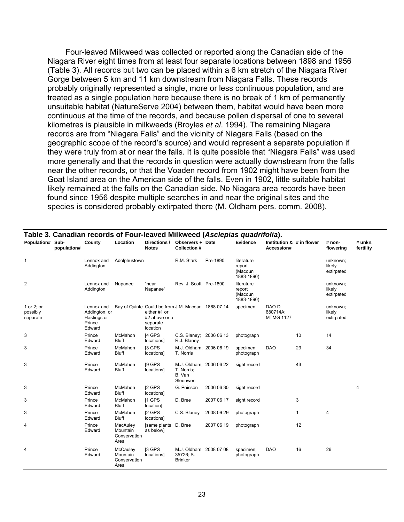Four-leaved Milkweed was collected or reported along the Canadian side of the Niagara River eight times from at least four separate locations between 1898 and 1956 (Table 3). All records but two can be placed within a 6 km stretch of the Niagara River Gorge between 5 km and 11 km downstream from Niagara Falls. These records probably originally represented a single, more or less continuous population, and are treated as a single population here because there is no break of 1 km of permanently unsuitable habitat (NatureServe 2004) between them, habitat would have been more continuous at the time of the records, and because pollen dispersal of one to several kilometres is plausible in milkweeds (Broyles *et al*. 1994). The remaining Niagara records are from "Niagara Falls" and the vicinity of Niagara Falls (based on the geographic scope of the record's source) and would represent a separate population if they were truly from at or near the falls. It is quite possible that "Niagara Falls" was used more generally and that the records in question were actually downstream from the falls near the other records, or that the Voaden record from 1902 might have been from the Goat Island area on the American side of the falls. Even in 1902, little suitable habitat likely remained at the falls on the Canadian side. No Niagara area records have been found since 1956 despite multiple searches in and near the original sites and the species is considered probably extirpated there (M. Oldham pers. comm. 2008).

| Population# Sub-                   | population# | County                                                         | Location                                     | Directions /<br><b>Notes</b>                                                                                | Observers + Date<br><b>Collection #</b>                     |            | Evidence                                      | Institution & # in flower<br>Accession# |              | $# non-$<br>flowering            | # unkn.<br>fertility |
|------------------------------------|-------------|----------------------------------------------------------------|----------------------------------------------|-------------------------------------------------------------------------------------------------------------|-------------------------------------------------------------|------------|-----------------------------------------------|-----------------------------------------|--------------|----------------------------------|----------------------|
| $\mathbf{1}$                       |             | Lennox and<br>Addington                                        | Adolphustown                                 |                                                                                                             | R.M. Stark                                                  | Pre-1890   | literature<br>report<br>(Macoun<br>1883-1890) |                                         |              | unknown;<br>likely<br>extirpated |                      |
| 2                                  |             | Lennox and<br>Addington                                        | Napanee                                      | "near<br>Napanee"                                                                                           | Rev. J. Scott Pre-1890                                      |            | literature<br>report<br>(Macoun<br>1883-1890) |                                         |              | unknown;<br>likely<br>extirpated |                      |
| 1 or 2; or<br>possibly<br>separate |             | Lennox and<br>Addington, or<br>Hastings or<br>Prince<br>Edward |                                              | Bay of Quinte Could be from J.M. Macoun 1868 07 14<br>either #1 or<br>#2 above or a<br>separate<br>location |                                                             |            | specimen                                      | DAO D<br>680714A;<br><b>MTMG 1127</b>   |              | unknown;<br>likely<br>extirpated |                      |
| 3                                  |             | Prince<br>Edward                                               | McMahon<br><b>Bluff</b>                      | [4 GPS<br>locations]                                                                                        | C.S. Blaney; 2006 06 13<br>R.J. Blaney                      |            | photograph                                    |                                         | 10           | 14                               |                      |
| 3                                  |             | Prince<br>Edward                                               | McMahon<br><b>Bluff</b>                      | [3 GPS<br>locations]                                                                                        | M.J. Oldham; 2006 06 19<br>T. Norris                        |            | specimen;<br>photograph                       | <b>DAO</b>                              | 23           | 34                               |                      |
| 3                                  |             | Prince<br>Edward                                               | McMahon<br><b>Bluff</b>                      | [9 GPS<br>locations]                                                                                        | M.J. Oldham; 2006 06 22<br>T. Norris;<br>B. Van<br>Sleeuwen |            | sight record                                  |                                         | 43           |                                  |                      |
| 3                                  |             | Prince<br>Edward                                               | McMahon<br><b>Bluff</b>                      | [2 GPS<br>locations]                                                                                        | G. Poisson                                                  | 2006 06 30 | sight record                                  |                                         |              |                                  | 4                    |
| 3                                  |             | Prince<br>Edward                                               | McMahon<br><b>Bluff</b>                      | [1 GPS<br>location]                                                                                         | D. Bree                                                     | 2007 06 17 | sight record                                  |                                         | 3            |                                  |                      |
| 3                                  |             | Prince<br>Edward                                               | McMahon<br><b>Bluff</b>                      | [2 GPS<br>locations]                                                                                        | C.S. Blaney                                                 | 2008 09 29 | photograph                                    |                                         | $\mathbf{1}$ | 4                                |                      |
| 4                                  |             | Prince<br>Edward                                               | MacAuley<br>Mountain<br>Conservation<br>Area | [same plants D. Bree<br>as below]                                                                           |                                                             | 2007 06 19 | photograph                                    |                                         | 12           |                                  |                      |
| 4                                  |             | Prince<br>Edward                                               | McCauley<br>Mountain<br>Conservation<br>Area | [3 GPS<br>locations]                                                                                        | M.J. Oldham 2008 07 08<br>35726; S.<br><b>Brinker</b>       |            | specimen;<br>photograph                       | <b>DAO</b>                              | 16           | 26                               |                      |

#### **Table 3. Canadian records of Four-leaved Milkweed (***Asclepias quadrifolia***).**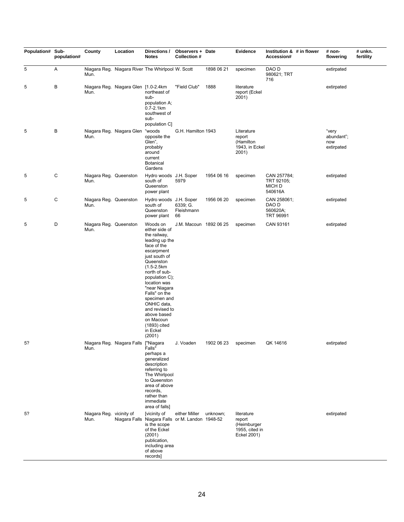| Population# Sub- | population# | County                           | Location                              | Directions /<br><b>Notes</b>                                                                                                                                                                                                                                                                                                                       | Observers + Date<br><b>Collection #</b> |            | Evidence                                                             | Institution & # in flower<br>Accession#              | # non-<br>flowering                      | # unkn.<br>fertility |
|------------------|-------------|----------------------------------|---------------------------------------|----------------------------------------------------------------------------------------------------------------------------------------------------------------------------------------------------------------------------------------------------------------------------------------------------------------------------------------------------|-----------------------------------------|------------|----------------------------------------------------------------------|------------------------------------------------------|------------------------------------------|----------------------|
| 5                | Α           | Mun.                             |                                       | Niagara Reg. Niagara River The Whirlpool W. Scott                                                                                                                                                                                                                                                                                                  |                                         | 1898 06 21 | specimen                                                             | DAO D<br>980621; TRT<br>716                          | extirpated                               |                      |
| 5                | B           | Mun.                             | Niagara Reg. Niagara Glen [1.0-2.4km] | northeast of<br>sub-<br>population A;<br>$0.7 - 2.1$ km<br>southwest of<br>sub-<br>population C]                                                                                                                                                                                                                                                   | "Field Club"                            | 1888       | literature<br>report (Eckel<br>2001)                                 |                                                      | extirpated                               |                      |
| 5                | B           | Mun.                             | Niagara Reg. Niagara Glen             | "woods<br>opposite the<br>Glen",<br>probably<br>around<br>current<br><b>Botanical</b><br>Gardens                                                                                                                                                                                                                                                   | G.H. Hamilton 1943                      |            | Literature<br>report<br>(Hamilton<br>1943, in Eckel<br>2001)         |                                                      | "very<br>abundant";<br>now<br>extirpated |                      |
| 5                | C           | Niagara Reg. Queenston<br>Mun.   |                                       | Hydro woods J.H. Soper<br>south of<br>Queenston<br>power plant                                                                                                                                                                                                                                                                                     | 5979                                    | 1954 06 16 | specimen                                                             | CAN 257784;<br>TRT 92105;<br>MICH D<br>540616A       | extirpated                               |                      |
| 5                | С           | Niagara Reg. Queenston<br>Mun.   |                                       | Hydro woods J.H. Soper<br>south of<br>Queenston<br>power plant                                                                                                                                                                                                                                                                                     | 6339; G.<br>Fleishmann<br>66            | 1956 06 20 | specimen                                                             | CAN 258061;<br>DAO D<br>560620A;<br><b>TRT 96991</b> | extirpated                               |                      |
| 5                | D           | Niagara Reg. Queenston<br>Mun.   |                                       | Woods on<br>either side of<br>the railway,<br>leading up the<br>face of the<br>escarpment<br>just south of<br>Queenston<br>$(1.5 - 2.5km)$<br>north of sub-<br>population C);<br>location was<br>"near Niagara<br>Falls" on the<br>specimen and<br>ONHIC data,<br>and revised to<br>above based<br>on Macoun<br>(1893) cited<br>in Eckel<br>(2001) | J.M. Macoun 1892 06 25                  |            | specimen                                                             | CAN 93161                                            | extirpated                               |                      |
| 5?               |             | Mun.                             | Niagara Reg. Niagara Falls ["Niagara  | Falls"<br>perhaps a<br>qeneralized<br>description<br>referring to<br>The Whirlpool<br>to Queenston<br>area of above<br>records,<br>rather than<br>immediate<br>area of falls]                                                                                                                                                                      | J. Voaden                               | 1902 06 23 | specimen                                                             | QK 14616                                             | extirpated                               |                      |
| 5?               |             | Niagara Reg. vicinity of<br>Mun. |                                       | [vicinity of<br>Niagara Falls Niagara Falls or M. Landon 1948-52<br>is the scope<br>of the Eckel<br>(2001)<br>publication,<br>including area<br>of above<br>records]                                                                                                                                                                               | either Miller unknown;                  |            | literature<br>report<br>(Heimburger<br>1955, cited in<br>Eckel 2001) |                                                      | extirpated                               |                      |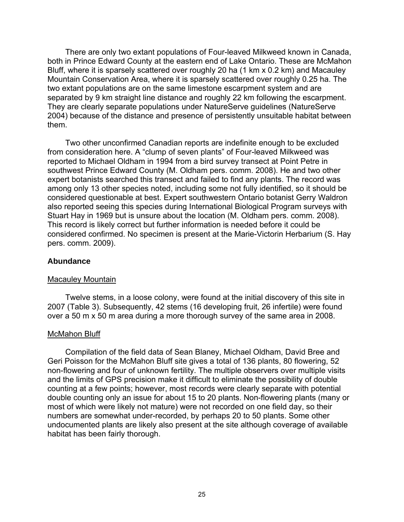There are only two extant populations of Four-leaved Milkweed known in Canada, both in Prince Edward County at the eastern end of Lake Ontario. These are McMahon Bluff, where it is sparsely scattered over roughly 20 ha (1 km x 0.2 km) and Macauley Mountain Conservation Area, where it is sparsely scattered over roughly 0.25 ha. The two extant populations are on the same limestone escarpment system and are separated by 9 km straight line distance and roughly 22 km following the escarpment. They are clearly separate populations under NatureServe guidelines (NatureServe 2004) because of the distance and presence of persistently unsuitable habitat between them.

Two other unconfirmed Canadian reports are indefinite enough to be excluded from consideration here. A "clump of seven plants" of Four-leaved Milkweed was reported to Michael Oldham in 1994 from a bird survey transect at Point Petre in southwest Prince Edward County (M. Oldham pers. comm. 2008). He and two other expert botanists searched this transect and failed to find any plants. The record was among only 13 other species noted, including some not fully identified, so it should be considered questionable at best. Expert southwestern Ontario botanist Gerry Waldron also reported seeing this species during International Biological Program surveys with Stuart Hay in 1969 but is unsure about the location (M. Oldham pers. comm. 2008). This record is likely correct but further information is needed before it could be considered confirmed. No specimen is present at the Marie-Victorin Herbarium (S. Hay pers. comm. 2009).

#### **Abundance**

#### Macauley Mountain

Twelve stems, in a loose colony, were found at the initial discovery of this site in 2007 (Table 3). Subsequently, 42 stems (16 developing fruit, 26 infertile) were found over a 50 m x 50 m area during a more thorough survey of the same area in 2008.

#### McMahon Bluff

Compilation of the field data of Sean Blaney, Michael Oldham, David Bree and Geri Poisson for the McMahon Bluff site gives a total of 136 plants, 80 flowering, 52 non-flowering and four of unknown fertility. The multiple observers over multiple visits and the limits of GPS precision make it difficult to eliminate the possibility of double counting at a few points; however, most records were clearly separate with potential double counting only an issue for about 15 to 20 plants. Non-flowering plants (many or most of which were likely not mature) were not recorded on one field day, so their numbers are somewhat under-recorded, by perhaps 20 to 50 plants. Some other undocumented plants are likely also present at the site although coverage of available habitat has been fairly thorough.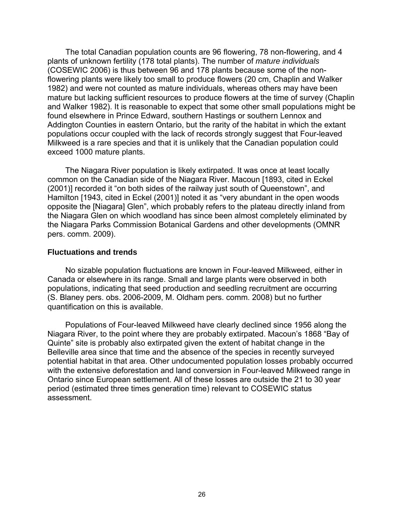The total Canadian population counts are 96 flowering, 78 non-flowering, and 4 plants of unknown fertility (178 total plants). The number of *mature individuals* (COSEWIC 2006) is thus between 96 and 178 plants because some of the nonflowering plants were likely too small to produce flowers (20 cm, Chaplin and Walker 1982) and were not counted as mature individuals, whereas others may have been mature but lacking sufficient resources to produce flowers at the time of survey (Chaplin and Walker 1982). It is reasonable to expect that some other small populations might be found elsewhere in Prince Edward, southern Hastings or southern Lennox and Addington Counties in eastern Ontario, but the rarity of the habitat in which the extant populations occur coupled with the lack of records strongly suggest that Four-leaved Milkweed is a rare species and that it is unlikely that the Canadian population could exceed 1000 mature plants.

The Niagara River population is likely extirpated. It was once at least locally common on the Canadian side of the Niagara River. Macoun [1893, cited in Eckel (2001)] recorded it "on both sides of the railway just south of Queenstown", and Hamilton [1943, cited in Eckel (2001)] noted it as "very abundant in the open woods opposite the [Niagara] Glen", which probably refers to the plateau directly inland from the Niagara Glen on which woodland has since been almost completely eliminated by the Niagara Parks Commission Botanical Gardens and other developments (OMNR pers. comm. 2009).

#### **Fluctuations and trends**

No sizable population fluctuations are known in Four-leaved Milkweed, either in Canada or elsewhere in its range. Small and large plants were observed in both populations, indicating that seed production and seedling recruitment are occurring (S. Blaney pers. obs. 2006-2009, M. Oldham pers. comm. 2008) but no further quantification on this is available.

Populations of Four-leaved Milkweed have clearly declined since 1956 along the Niagara River, to the point where they are probably extirpated. Macoun's 1868 "Bay of Quinte" site is probably also extirpated given the extent of habitat change in the Belleville area since that time and the absence of the species in recently surveyed potential habitat in that area. Other undocumented population losses probably occurred with the extensive deforestation and land conversion in Four-leaved Milkweed range in Ontario since European settlement. All of these losses are outside the 21 to 30 year period (estimated three times generation time) relevant to COSEWIC status assessment.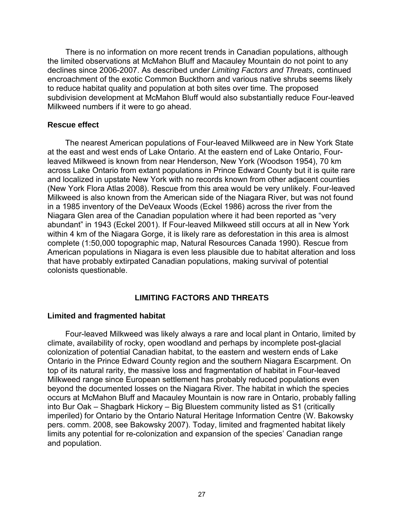There is no information on more recent trends in Canadian populations, although the limited observations at McMahon Bluff and Macauley Mountain do not point to any declines since 2006-2007. As described under *Limiting Factors and Threats*, continued encroachment of the exotic Common Buckthorn and various native shrubs seems likely to reduce habitat quality and population at both sites over time. The proposed subdivision development at McMahon Bluff would also substantially reduce Four-leaved Milkweed numbers if it were to go ahead.

#### **Rescue effect**

The nearest American populations of Four-leaved Milkweed are in New York State at the east and west ends of Lake Ontario. At the eastern end of Lake Ontario, Fourleaved Milkweed is known from near Henderson, New York (Woodson 1954), 70 km across Lake Ontario from extant populations in Prince Edward County but it is quite rare and localized in upstate New York with no records known from other adjacent counties (New York Flora Atlas 2008). Rescue from this area would be very unlikely. Four-leaved Milkweed is also known from the American side of the Niagara River, but was not found in a 1985 inventory of the DeVeaux Woods (Eckel 1986) across the river from the Niagara Glen area of the Canadian population where it had been reported as "very abundant" in 1943 (Eckel 2001). If Four-leaved Milkweed still occurs at all in New York within 4 km of the Niagara Gorge, it is likely rare as deforestation in this area is almost complete (1:50,000 topographic map, Natural Resources Canada 1990). Rescue from American populations in Niagara is even less plausible due to habitat alteration and loss that have probably extirpated Canadian populations, making survival of potential colonists questionable.

## **LIMITING FACTORS AND THREATS**

#### **Limited and fragmented habitat**

Four-leaved Milkweed was likely always a rare and local plant in Ontario, limited by climate, availability of rocky, open woodland and perhaps by incomplete post-glacial colonization of potential Canadian habitat, to the eastern and western ends of Lake Ontario in the Prince Edward County region and the southern Niagara Escarpment. On top of its natural rarity, the massive loss and fragmentation of habitat in Four-leaved Milkweed range since European settlement has probably reduced populations even beyond the documented losses on the Niagara River. The habitat in which the species occurs at McMahon Bluff and Macauley Mountain is now rare in Ontario, probably falling into Bur Oak – Shagbark Hickory – Big Bluestem community listed as S1 (critically imperiled) for Ontario by the Ontario Natural Heritage Information Centre (W. Bakowsky pers. comm. 2008, see Bakowsky 2007). Today, limited and fragmented habitat likely limits any potential for re-colonization and expansion of the species' Canadian range and population.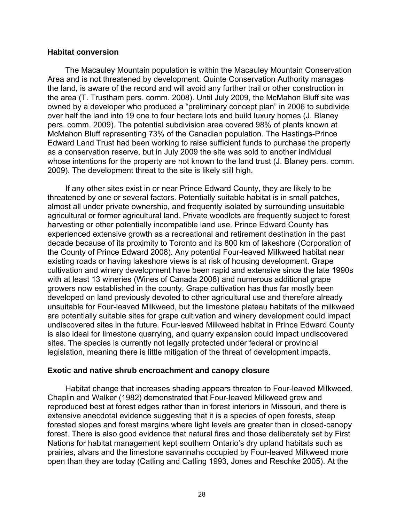#### **Habitat conversion**

The Macauley Mountain population is within the Macauley Mountain Conservation Area and is not threatened by development. Quinte Conservation Authority manages the land, is aware of the record and will avoid any further trail or other construction in the area (T. Trustham pers. comm. 2008). Until July 2009, the McMahon Bluff site was owned by a developer who produced a "preliminary concept plan" in 2006 to subdivide over half the land into 19 one to four hectare lots and build luxury homes (J. Blaney pers. comm. 2009). The potential subdivision area covered 98% of plants known at McMahon Bluff representing 73% of the Canadian population. The Hastings-Prince Edward Land Trust had been working to raise sufficient funds to purchase the property as a conservation reserve, but in July 2009 the site was sold to another individual whose intentions for the property are not known to the land trust (J. Blaney pers. comm. 2009). The development threat to the site is likely still high.

If any other sites exist in or near Prince Edward County, they are likely to be threatened by one or several factors. Potentially suitable habitat is in small patches, almost all under private ownership, and frequently isolated by surrounding unsuitable agricultural or former agricultural land. Private woodlots are frequently subject to forest harvesting or other potentially incompatible land use. Prince Edward County has experienced extensive growth as a recreational and retirement destination in the past decade because of its proximity to Toronto and its 800 km of lakeshore (Corporation of the County of Prince Edward 2008). Any potential Four-leaved Milkweed habitat near existing roads or having lakeshore views is at risk of housing development. Grape cultivation and winery development have been rapid and extensive since the late 1990s with at least 13 wineries (Wines of Canada 2008) and numerous additional grape growers now established in the county. Grape cultivation has thus far mostly been developed on land previously devoted to other agricultural use and therefore already unsuitable for Four-leaved Milkweed, but the limestone plateau habitats of the milkweed are potentially suitable sites for grape cultivation and winery development could impact undiscovered sites in the future. Four-leaved Milkweed habitat in Prince Edward County is also ideal for limestone quarrying, and quarry expansion could impact undiscovered sites. The species is currently not legally protected under federal or provincial legislation, meaning there is little mitigation of the threat of development impacts.

#### **Exotic and native shrub encroachment and canopy closure**

Habitat change that increases shading appears threaten to Four-leaved Milkweed. Chaplin and Walker (1982) demonstrated that Four-leaved Milkweed grew and reproduced best at forest edges rather than in forest interiors in Missouri, and there is extensive anecdotal evidence suggesting that it is a species of open forests, steep forested slopes and forest margins where light levels are greater than in closed-canopy forest. There is also good evidence that natural fires and those deliberately set by First Nations for habitat management kept southern Ontario's dry upland habitats such as prairies, alvars and the limestone savannahs occupied by Four-leaved Milkweed more open than they are today (Catling and Catling 1993, Jones and Reschke 2005). At the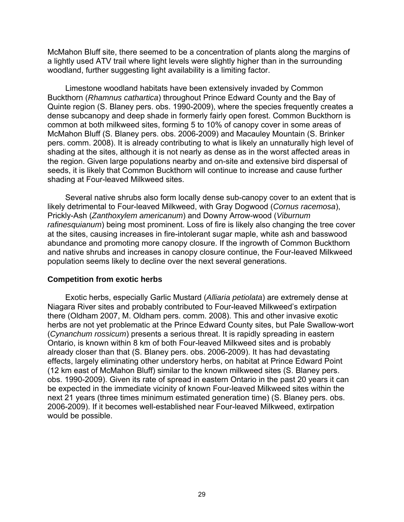McMahon Bluff site, there seemed to be a concentration of plants along the margins of a lightly used ATV trail where light levels were slightly higher than in the surrounding woodland, further suggesting light availability is a limiting factor.

Limestone woodland habitats have been extensively invaded by Common Buckthorn (*Rhamnus cathartica*) throughout Prince Edward County and the Bay of Quinte region (S. Blaney pers. obs. 1990-2009), where the species frequently creates a dense subcanopy and deep shade in formerly fairly open forest. Common Buckthorn is common at both milkweed sites, forming 5 to 10% of canopy cover in some areas of McMahon Bluff (S. Blaney pers. obs. 2006-2009) and Macauley Mountain (S. Brinker pers. comm. 2008). It is already contributing to what is likely an unnaturally high level of shading at the sites, although it is not nearly as dense as in the worst affected areas in the region. Given large populations nearby and on-site and extensive bird dispersal of seeds, it is likely that Common Buckthorn will continue to increase and cause further shading at Four-leaved Milkweed sites.

Several native shrubs also form locally dense sub-canopy cover to an extent that is likely detrimental to Four-leaved Milkweed, with Gray Dogwood (*Cornus racemosa*), Prickly-Ash (*Zanthoxylem americanum*) and Downy Arrow-wood (*Viburnum rafinesquianum*) being most prominent. Loss of fire is likely also changing the tree cover at the sites, causing increases in fire-intolerant sugar maple, white ash and basswood abundance and promoting more canopy closure. If the ingrowth of Common Buckthorn and native shrubs and increases in canopy closure continue, the Four-leaved Milkweed population seems likely to decline over the next several generations.

#### **Competition from exotic herbs**

Exotic herbs, especially Garlic Mustard (*Alliaria petiolata*) are extremely dense at Niagara River sites and probably contributed to Four-leaved Milkweed's extirpation there (Oldham 2007, M. Oldham pers. comm. 2008). This and other invasive exotic herbs are not yet problematic at the Prince Edward County sites, but Pale Swallow-wort (*Cynanchum rossicum*) presents a serious threat. It is rapidly spreading in eastern Ontario, is known within 8 km of both Four-leaved Milkweed sites and is probably already closer than that (S. Blaney pers. obs. 2006-2009). It has had devastating effects, largely eliminating other understory herbs, on habitat at Prince Edward Point (12 km east of McMahon Bluff) similar to the known milkweed sites (S. Blaney pers. obs. 1990-2009). Given its rate of spread in eastern Ontario in the past 20 years it can be expected in the immediate vicinity of known Four-leaved Milkweed sites within the next 21 years (three times minimum estimated generation time) (S. Blaney pers. obs. 2006-2009). If it becomes well-established near Four-leaved Milkweed, extirpation would be possible.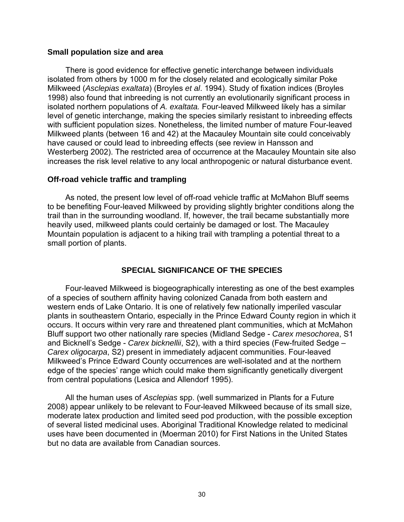## **Small population size and area**

There is good evidence for effective genetic interchange between individuals isolated from others by 1000 m for the closely related and ecologically similar Poke Milkweed (*Asclepias exaltata*) (Broyles *et al*. 1994). Study of fixation indices (Broyles 1998) also found that inbreeding is not currently an evolutionarily significant process in isolated northern populations of *A. exaltata.* Four-leaved Milkweed likely has a similar level of genetic interchange, making the species similarly resistant to inbreeding effects with sufficient population sizes. Nonetheless, the limited number of mature Four-leaved Milkweed plants (between 16 and 42) at the Macauley Mountain site could conceivably have caused or could lead to inbreeding effects (see review in Hansson and Westerberg 2002). The restricted area of occurrence at the Macauley Mountain site also increases the risk level relative to any local anthropogenic or natural disturbance event.

## **Off-road vehicle traffic and trampling**

As noted, the present low level of off-road vehicle traffic at McMahon Bluff seems to be benefiting Four-leaved Milkweed by providing slightly brighter conditions along the trail than in the surrounding woodland. If, however, the trail became substantially more heavily used, milkweed plants could certainly be damaged or lost. The Macauley Mountain population is adjacent to a hiking trail with trampling a potential threat to a small portion of plants.

## **SPECIAL SIGNIFICANCE OF THE SPECIES**

Four-leaved Milkweed is biogeographically interesting as one of the best examples of a species of southern affinity having colonized Canada from both eastern and western ends of Lake Ontario. It is one of relatively few nationally imperiled vascular plants in southeastern Ontario, especially in the Prince Edward County region in which it occurs. It occurs within very rare and threatened plant communities, which at McMahon Bluff support two other nationally rare species (Midland Sedge - *Carex mesochorea*, S1 and Bicknell's Sedge - *Carex bicknellii*, S2), with a third species (Few-fruited Sedge – *Carex oligocarpa*, S2) present in immediately adjacent communities. Four-leaved Milkweed's Prince Edward County occurrences are well-isolated and at the northern edge of the species' range which could make them significantly genetically divergent from central populations (Lesica and Allendorf 1995).

All the human uses of *Asclepias* spp. (well summarized in Plants for a Future 2008) appear unlikely to be relevant to Four-leaved Milkweed because of its small size, moderate latex production and limited seed pod production, with the possible exception of several listed medicinal uses. Aboriginal Traditional Knowledge related to medicinal uses have been documented in (Moerman 2010) for First Nations in the United States but no data are available from Canadian sources.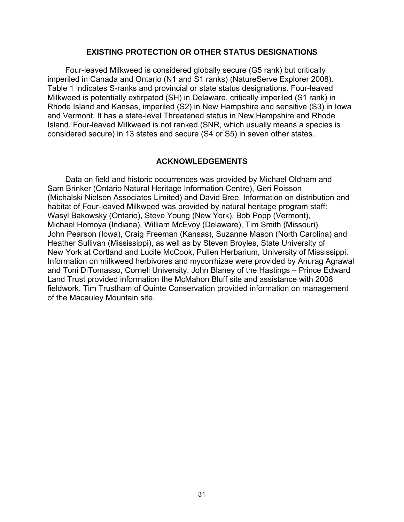## **EXISTING PROTECTION OR OTHER STATUS DESIGNATIONS**

Four-leaved Milkweed is considered globally secure (G5 rank) but critically imperiled in Canada and Ontario (N1 and S1 ranks) (NatureServe Explorer 2008). Table 1 indicates S-ranks and provincial or state status designations. Four-leaved Milkweed is potentially extirpated (SH) in Delaware, critically imperiled (S1 rank) in Rhode Island and Kansas, imperiled (S2) in New Hampshire and sensitive (S3) in Iowa and Vermont. It has a state-level Threatened status in New Hampshire and Rhode Island. Four-leaved Milkweed is not ranked (SNR, which usually means a species is considered secure) in 13 states and secure (S4 or S5) in seven other states.

#### **ACKNOWLEDGEMENTS**

Data on field and historic occurrences was provided by Michael Oldham and Sam Brinker (Ontario Natural Heritage Information Centre), Geri Poisson (Michalski Nielsen Associates Limited) and David Bree. Information on distribution and habitat of Four-leaved Milkweed was provided by natural heritage program staff: Wasyl Bakowsky (Ontario), Steve Young (New York), Bob Popp (Vermont), Michael Homoya (Indiana), William McEvoy (Delaware), Tim Smith (Missouri), John Pearson (Iowa), Craig Freeman (Kansas), Suzanne Mason (North Carolina) and Heather Sullivan (Mississippi), as well as by Steven Broyles, State University of New York at Cortland and Lucile McCook, Pullen Herbarium, University of Mississippi. Information on milkweed herbivores and mycorrhizae were provided by Anurag Agrawal and Toni DiTomasso, Cornell University. John Blaney of the Hastings – Prince Edward Land Trust provided information the McMahon Bluff site and assistance with 2008 fieldwork. Tim Trustham of Quinte Conservation provided information on management of the Macauley Mountain site.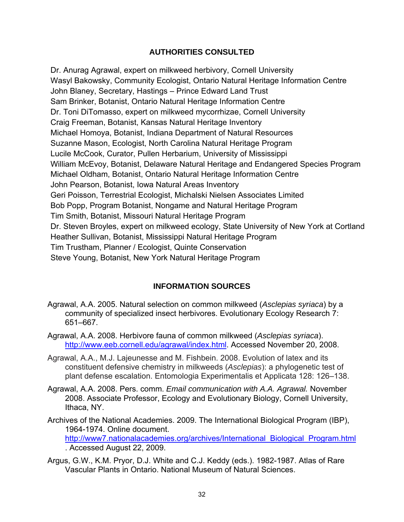## **AUTHORITIES CONSULTED**

Dr. Anurag Agrawal, expert on milkweed herbivory, Cornell University Wasyl Bakowsky, Community Ecologist, Ontario Natural Heritage Information Centre John Blaney, Secretary, Hastings – Prince Edward Land Trust Sam Brinker, Botanist, Ontario Natural Heritage Information Centre Dr. Toni DiTomasso, expert on milkweed mycorrhizae, Cornell University Craig Freeman, Botanist, Kansas Natural Heritage Inventory Michael Homoya, Botanist, Indiana Department of Natural Resources Suzanne Mason, Ecologist, North Carolina Natural Heritage Program Lucile McCook, Curator, Pullen Herbarium, University of Mississippi William McEvoy, Botanist, Delaware Natural Heritage and Endangered Species Program Michael Oldham, Botanist, Ontario Natural Heritage Information Centre John Pearson, Botanist, Iowa Natural Areas Inventory Geri Poisson, Terrestrial Ecologist, Michalski Nielsen Associates Limited Bob Popp, Program Botanist, Nongame and Natural Heritage Program Tim Smith, Botanist, Missouri Natural Heritage Program Dr. Steven Broyles, expert on milkweed ecology, State University of New York at Cortland Heather Sullivan, Botanist, Mississippi Natural Heritage Program Tim Trustham, Planner / Ecologist, Quinte Conservation Steve Young, Botanist, New York Natural Heritage Program

## **INFORMATION SOURCES**

- Agrawal, A.A. 2005. Natural selection on common milkweed (*Asclepias syriaca*) by a community of specialized insect herbivores. Evolutionary Ecology Research 7: 651–667.
- Agrawal, A.A. 2008. Herbivore fauna of common milkweed (*Asclepias syriaca*). http://www.eeb.cornell.edu/agrawal/index.html. Accessed November 20, 2008.
- Agrawal, A.A., M.J. Lajeunesse and M. Fishbein. 2008. Evolution of latex and its constituent defensive chemistry in milkweeds (*Asclepias*): a phylogenetic test of plant defense escalation. Entomologia Experimentalis et Applicata 128: 126–138.
- Agrawal, A.A. 2008. Pers. comm. *Email communication with A.A. Agrawal.* November 2008. Associate Professor, Ecology and Evolutionary Biology, Cornell University, Ithaca, NY.
- Archives of the National Academies. 2009. The International Biological Program (IBP), 1964-1974. Online document. http://www7.nationalacademies.org/archives/International\_Biological\_Program.html . Accessed August 22, 2009.
- Argus, G.W., K.M. Pryor, D.J. White and C.J. Keddy (eds.). 1982-1987. Atlas of Rare Vascular Plants in Ontario. National Museum of Natural Sciences.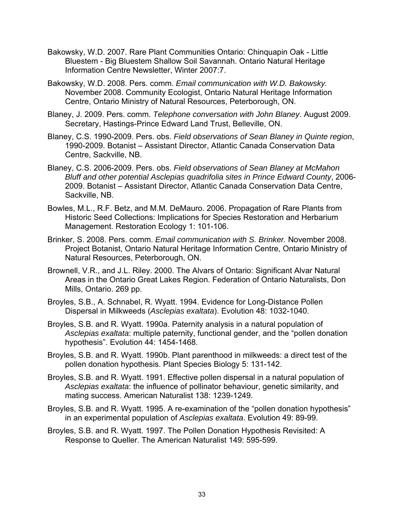- Bakowsky, W.D. 2007. Rare Plant Communities Ontario: Chinquapin Oak Little Bluestem - Big Bluestem Shallow Soil Savannah. Ontario Natural Heritage Information Centre Newsletter, Winter 2007:7.
- Bakowsky, W.D. 2008. Pers. comm. *Email communication with W.D. Bakowsky.* November 2008. Community Ecologist, Ontario Natural Heritage Information Centre, Ontario Ministry of Natural Resources, Peterborough, ON.
- Blaney, J. 2009. Pers. comm. *Telephone conversation with John Blaney*. August 2009. Secretary, Hastings-Prince Edward Land Trust, Belleville, ON.
- Blaney, C.S. 1990-2009. Pers. obs. *Field observations of Sean Blaney in Quinte region*, 1990-2009. Botanist – Assistant Director, Atlantic Canada Conservation Data Centre, Sackville, NB.
- Blaney, C.S. 2006-2009. Pers. obs. *Field observations of Sean Blaney at McMahon Bluff and other potential Asclepias quadrifolia sites in Prince Edward County*, 2006- 2009. Botanist – Assistant Director, Atlantic Canada Conservation Data Centre, Sackville, NB.
- Bowles, M.L., R.F. Betz, and M.M. DeMauro. 2006. Propagation of Rare Plants from Historic Seed Collections: Implications for Species Restoration and Herbarium Management. Restoration Ecology 1: 101-106.
- Brinker, S. 2008. Pers. comm. *Email communication with S. Brinker.* November 2008. Project Botanist, Ontario Natural Heritage Information Centre, Ontario Ministry of Natural Resources, Peterborough, ON.
- Brownell, V.R., and J.L. Riley. 2000. The Alvars of Ontario: Significant Alvar Natural Areas in the Ontario Great Lakes Region. Federation of Ontario Naturalists, Don Mills, Ontario. 269 pp.
- Broyles, S.B., A. Schnabel, R. Wyatt. 1994. Evidence for Long-Distance Pollen Dispersal in Milkweeds (*Asclepias exaltata*). Evolution 48: 1032-1040.
- Broyles, S.B. and R. Wyatt. 1990a. Paternity analysis in a natural population of *Asclepias exaltata*: multiple paternity, functional gender, and the "pollen donation hypothesis". Evolution 44: 1454-1468.
- Broyles, S.B. and R. Wyatt. 1990b. Plant parenthood in milkweeds: a direct test of the pollen donation hypothesis. Plant Species Biology 5: 131-142.
- Broyles, S.B. and R. Wyatt. 1991. Effective pollen dispersal in a natural population of *Asclepias exaltata*: the influence of pollinator behaviour, genetic similarity, and mating success. American Naturalist 138: 1239-1249.
- Broyles, S.B. and R. Wyatt. 1995. A re-examination of the "pollen donation hypothesis" in an experimental population of *Asclepias exaltata*. Evolution 49: 89-99.
- Broyles, S.B. and R. Wyatt. 1997. The Pollen Donation Hypothesis Revisited: A Response to Queller. The American Naturalist 149: 595-599.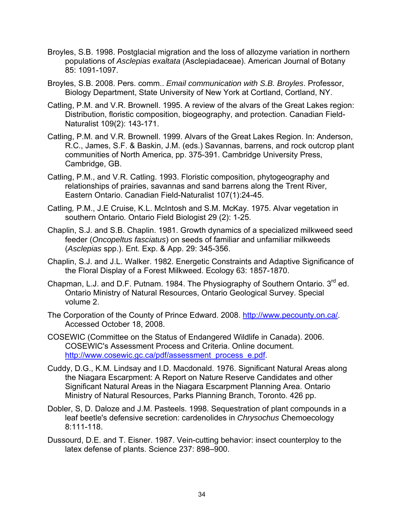- Broyles, S.B. 1998. Postglacial migration and the loss of allozyme variation in northern populations of *Asclepias exaltata* (Asclepiadaceae). American Journal of Botany 85: 1091-1097.
- Broyles, S.B. 2008. Pers. comm.. *Email communication with S.B. Broyles*. Professor, Biology Department, State University of New York at Cortland, Cortland, NY.
- Catling, P.M. and V.R. Brownell. 1995. A review of the alvars of the Great Lakes region: Distribution, floristic composition, biogeography, and protection. Canadian Field-Naturalist 109(2): 143-171.
- Catling, P.M. and V.R. Brownell. 1999. Alvars of the Great Lakes Region. In: Anderson, R.C., James, S.F. & Baskin, J.M. (eds.) Savannas, barrens, and rock outcrop plant communities of North America, pp. 375-391. Cambridge University Press, Cambridge, GB.
- Catling, P.M., and V.R. Catling. 1993. Floristic composition, phytogeography and relationships of prairies, savannas and sand barrens along the Trent River, Eastern Ontario. Canadian Field-Naturalist 107(1):24-45.
- Catling*,* P.M., J.E Cruise, K.L. McIntosh and S.M. McKay. 1975. Alvar vegetation in southern Ontario*.* Ontario Field Biologist 29 (2): 1-25.
- Chaplin, S.J. and S.B. Chaplin. 1981. Growth dynamics of a specialized milkweed seed feeder (*Oncopeltus fasciatus*) on seeds of familiar and unfamiliar milkweeds (*Asclepias* spp.). Ent. Exp. & App. 29: 345-356.
- Chaplin, S.J. and J.L. Walker. 1982. Energetic Constraints and Adaptive Significance of the Floral Display of a Forest Milkweed. Ecology 63: 1857-1870.
- Chapman, L.J. and D.F. Putnam. 1984. The Physiography of Southern Ontario. 3<sup>rd</sup> ed. Ontario Ministry of Natural Resources, Ontario Geological Survey. Special volume 2.
- The Corporation of the County of Prince Edward. 2008. http://www.pecounty.on.ca/. Accessed October 18, 2008.
- COSEWIC (Committee on the Status of Endangered Wildlife in Canada). 2006. COSEWIC's Assessment Process and Criteria. Online document. http://www.cosewic.gc.ca/pdf/assessment\_process\_e.pdf.
- Cuddy, D.G., K.M. Lindsay and I.D. Macdonald. 1976. Significant Natural Areas along the Niagara Escarpment: A Report on Nature Reserve Candidates and other Significant Natural Areas in the Niagara Escarpment Planning Area. Ontario Ministry of Natural Resources, Parks Planning Branch, Toronto. 426 pp.
- Dobler, S, D. Daloze and J.M. Pasteels. 1998. Sequestration of plant compounds in a leaf beetle's defensive secretion: cardenolides in *Chrysochus* Chemoecology 8:111-118.
- Dussourd, D.E. and T. Eisner. 1987. Vein-cutting behavior: insect counterploy to the latex defense of plants. Science 237: 898–900.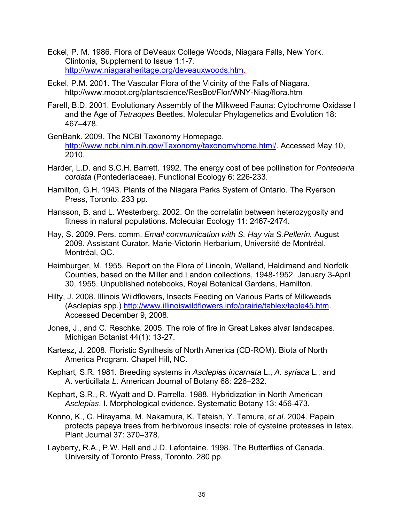- Eckel, P. M. 1986. Flora of DeVeaux College Woods, Niagara Falls, New York. Clintonia, Supplement to Issue 1:1-7. http://www.niagaraheritage.org/deveauxwoods.htm.
- Eckel, P.M. 2001. The Vascular Flora of the Vicinity of the Falls of Niagara. http://www.mobot.org/plantscience/ResBot/Flor/WNY-Niag/flora.htm
- Farell, B.D. 2001. Evolutionary Assembly of the Milkweed Fauna: Cytochrome Oxidase I and the Age of *Tetraopes* Beetles. Molecular Phylogenetics and Evolution 18: 467–478.
- GenBank. 2009. The NCBI Taxonomy Homepage. http://www.ncbi.nlm.nih.gov/Taxonomy/taxonomyhome.html/. Accessed May 10, 2010.
- Harder, L.D. and S.C.H. Barrett. 1992. The energy cost of bee pollination for *Pontederia cordata* (Pontederiaceae). Functional Ecology 6: 226-233.
- Hamilton, G.H. 1943. Plants of the Niagara Parks System of Ontario. The Ryerson Press, Toronto. 233 pp.
- Hansson, B. and L. Westerberg. 2002. On the correlatin between heterozygosity and fitness in natural populations. Molecular Ecology 11: 2467-2474.
- Hay, S. 2009. Pers. comm. *Email communication with S. Hay via S.Pellerin.* August 2009. Assistant Curator, Marie-Victorin Herbarium, Université de Montréal. Montréal, QC.
- Heimburger, M. 1955. Report on the Flora of Lincoln, Welland, Haldimand and Norfolk Counties, based on the Miller and Landon collections, 1948-1952. January 3-April 30, 1955. Unpublished notebooks, Royal Botanical Gardens, Hamilton.
- Hilty, J. 2008. Illinois Wildflowers, Insects Feeding on Various Parts of Milkweeds (Asclepias spp.) http://www.illinoiswildflowers.info/prairie/tablex/table45.htm. Accessed December 9, 2008.
- Jones, J., and C. Reschke. 2005. The role of fire in Great Lakes alvar landscapes. Michigan Botanist 44(1): 13-27.
- Kartesz, J. 2008. Floristic Synthesis of North America (CD-ROM). Biota of North America Program. Chapel Hill, NC.
- Kephart*,* S.R. 1981*.* Breeding systems in *Asclepias incarnata* L., *A. syriaca* L., and A. verticillata *L*. American Journal of Botany 68: 226–232.
- Kephart, S.R., R. Wyatt and D. Parrella. 1988. Hybridization in North American *Asclepias*. I. Morphological evidence. Systematic Botany 13: 456-473.
- Konno, K., C. Hirayama, M. Nakamura, K. Tateish, Y. Tamura, *et al*. 2004. Papain protects papaya trees from herbivorous insects: role of cysteine proteases in latex. Plant Journal 37: 370–378.
- Layberry, R.A., P.W. Hall and J.D. Lafontaine. 1998. The Butterflies of Canada. University of Toronto Press, Toronto. 280 pp.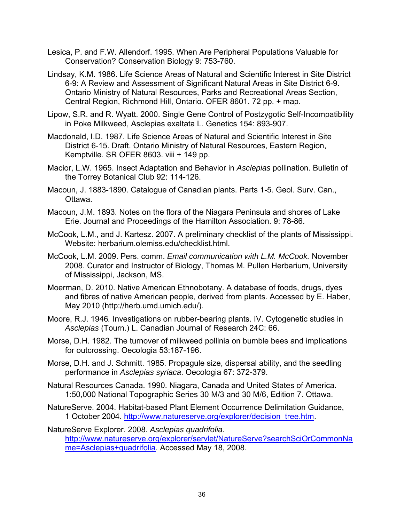- Lesica, P. and F.W. Allendorf. 1995. When Are Peripheral Populations Valuable for Conservation? Conservation Biology 9: 753-760.
- Lindsay, K.M. 1986. Life Science Areas of Natural and Scientific Interest in Site District 6-9: A Review and Assessment of Significant Natural Areas in Site District 6-9. Ontario Ministry of Natural Resources, Parks and Recreational Areas Section, Central Region, Richmond Hill, Ontario. OFER 8601. 72 pp. + map.
- Lipow, S.R. and R. Wyatt. 2000. Single Gene Control of Postzygotic Self-Incompatibility in Poke Milkweed, Asclepias exaltata L. Genetics 154: 893-907.
- Macdonald, I.D. 1987. Life Science Areas of Natural and Scientific Interest in Site District 6-15. Draft. Ontario Ministry of Natural Resources, Eastern Region, Kemptville. SR OFER 8603. viii + 149 pp.
- Macior, L.W. 1965. Insect Adaptation and Behavior in *Asclepias* pollination. Bulletin of the Torrey Botanical Club 92: 114-126.
- Macoun, J. 1883-1890. Catalogue of Canadian plants. Parts 1-5. Geol. Surv. Can., Ottawa.
- Macoun, J.M. 1893. Notes on the flora of the Niagara Peninsula and shores of Lake Erie. Journal and Proceedings of the Hamilton Association. 9: 78-86.
- McCook, L.M., and J. Kartesz. 2007. A preliminary checklist of the plants of Mississippi. Website: herbarium.olemiss.edu/checklist.html.
- McCook, L.M. 2009. Pers. comm. *Email communication with L.M. McCook.* November 2008. Curator and Instructor of Biology, Thomas M. Pullen Herbarium, University of Mississippi, Jackson, MS.
- Moerman, D. 2010. Native American Ethnobotany. A database of foods, drugs, dyes and fibres of native American people, derived from plants. Accessed by E. Haber, May 2010 (http://herb.umd.umich.edu/).
- Moore, R.J. 1946*.* Investigations on rubber-bearing plants. IV. Cytogenetic studies in *Asclepias* (Tourn.) L. Canadian Journal of Research 24C: 66.
- Morse, D.H. 1982. The turnover of milkweed pollinia on bumble bees and implications for outcrossing. Oecologia 53:187-196.
- Morse, D.H. and J. Schmitt. 1985. Propagule size, dispersal ability, and the seedling performance in *Asclepias syriaca*. Oecologia 67: 372-379.
- Natural Resources Canada. 1990. Niagara, Canada and United States of America. 1:50,000 National Topographic Series 30 M/3 and 30 M/6, Edition 7. Ottawa.
- NatureServe. 2004. Habitat-based Plant Element Occurrence Delimitation Guidance, 1 October 2004. http://www.natureserve.org/explorer/decision\_tree.htm.

NatureServe Explorer. 2008. *Asclepias quadrifolia*. http://www.natureserve.org/explorer/servlet/NatureServe?searchSciOrCommonNa me=Asclepias+quadrifolia. Accessed May 18, 2008.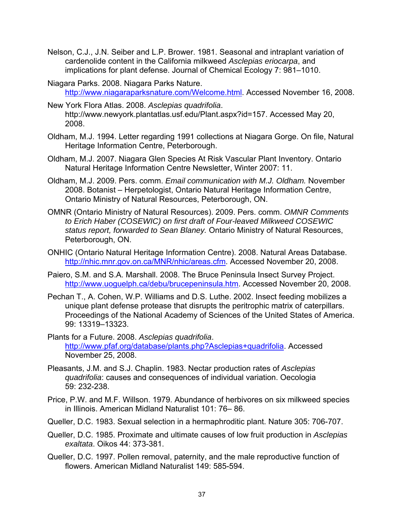- Nelson, C.J., J.N. Seiber and L.P. Brower. 1981. Seasonal and intraplant variation of cardenolide content in the California milkweed *Asclepias eriocarpa*, and implications for plant defense. Journal of Chemical Ecology 7: 981–1010.
- Niagara Parks. 2008. Niagara Parks Nature. http://www.niagaraparksnature.com/Welcome.html. Accessed November 16, 2008.
- New York Flora Atlas. 2008. *Asclepias quadrifolia*. http://www.newyork.plantatlas.usf.edu/Plant.aspx?id=157. Accessed May 20, 2008.
- Oldham, M.J. 1994. Letter regarding 1991 collections at Niagara Gorge. On file, Natural Heritage Information Centre, Peterborough.
- Oldham, M.J. 2007. Niagara Glen Species At Risk Vascular Plant Inventory. Ontario Natural Heritage Information Centre Newsletter, Winter 2007: 11.
- Oldham, M.J. 2009. Pers. comm. *Email communication with M.J. Oldham.* November 2008. Botanist – Herpetologist, Ontario Natural Heritage Information Centre, Ontario Ministry of Natural Resources, Peterborough, ON.
- OMNR (Ontario Ministry of Natural Resources). 2009. Pers. comm. *OMNR Comments to Erich Haber (COSEWIC) on first draft of Four-leaved Milkweed COSEWIC status report, forwarded to Sean Blaney.* Ontario Ministry of Natural Resources, Peterborough, ON.
- ONHIC (Ontario Natural Heritage Information Centre). 2008. Natural Areas Database. http://nhic.mnr.gov.on.ca/MNR/nhic/areas.cfm. Accessed November 20, 2008.
- Paiero, S.M. and S.A. Marshall. 2008. The Bruce Peninsula Insect Survey Project. http://www.uoguelph.ca/debu/brucepeninsula.htm. Accessed November 20, 2008.
- Pechan T., A. Cohen, W.P. Williams and D.S. Luthe. 2002. Insect feeding mobilizes a unique plant defense protease that disrupts the peritrophic matrix of caterpillars. Proceedings of the National Academy of Sciences of the United States of America. 99: 13319–13323.
- Plants for a Future. 2008. *Asclepias quadrifolia*. http://www.pfaf.org/database/plants.php?Asclepias+quadrifolia. Accessed November 25, 2008.
- Pleasants, J.M. and S.J. Chaplin. 1983. Nectar production rates of *Asclepias quadrifolia*: causes and consequences of individual variation. Oecologia 59: 232-238.
- Price, P.W. and M.F. Willson. 1979. Abundance of herbivores on six milkweed species in Illinois. American Midland Naturalist 101: 76– 86.
- Queller, D.C. 1983. Sexual selection in a hermaphroditic plant. Nature 305: 706-707.
- Queller, D.C. 1985. Proximate and ultimate causes of low fruit production in *Asclepias exaltata*. Oikos 44: 373-381.
- Queller, D.C. 1997. Pollen removal, paternity, and the male reproductive function of flowers. American Midland Naturalist 149: 585-594.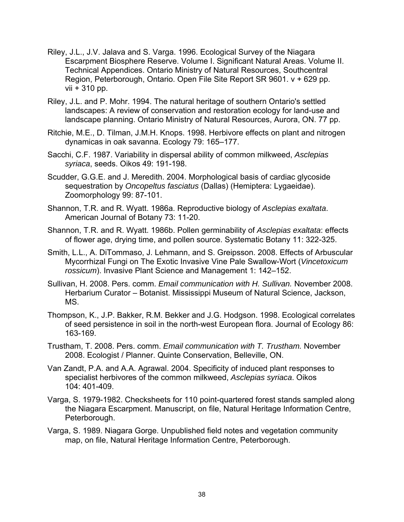- Riley, J.L., J.V. Jalava and S. Varga. 1996. Ecological Survey of the Niagara Escarpment Biosphere Reserve. Volume I. Significant Natural Areas. Volume II. Technical Appendices. Ontario Ministry of Natural Resources, Southcentral Region, Peterborough, Ontario. Open File Site Report SR 9601. v + 629 pp. vii + 310 pp.
- Riley, J.L. and P. Mohr. 1994. The natural heritage of southern Ontario's settled landscapes: A review of conservation and restoration ecology for land-use and landscape planning. Ontario Ministry of Natural Resources, Aurora, ON. 77 pp.
- Ritchie, M.E., D. Tilman, J.M.H. Knops. 1998. Herbivore effects on plant and nitrogen dynamicas in oak savanna. Ecology 79: 165–177.
- Sacchi, C.F. 1987. Variability in dispersal ability of common milkweed, *Asclepias syriaca*, seeds. Oikos 49: 191-198.
- Scudder, G.G.E. and J. Meredith. 2004. Morphological basis of cardiac glycoside sequestration by *Oncopeltus fasciatus* (Dallas) (Hemiptera: Lygaeidae). Zoomorphology 99: 87-101.
- Shannon, T.R. and R. Wyatt. 1986a. Reproductive biology of *Asclepias exaltata*. American Journal of Botany 73: 11-20.
- Shannon, T.R. and R. Wyatt. 1986b. Pollen germinability of *Asclepias exaltata*: effects of flower age, drying time, and pollen source. Systematic Botany 11: 322-325.
- Smith, L.L., A. DiTommaso, J. Lehmann, and S. Greipsson. 2008. Effects of Arbuscular Mycorrhizal Fungi on The Exotic Invasive Vine Pale Swallow-Wort (*Vincetoxicum rossicum*). Invasive Plant Science and Management 1: 142–152.
- Sullivan, H. 2008. Pers. comm. *Email communication with H. Sullivan.* November 2008. Herbarium Curator – Botanist. Mississippi Museum of Natural Science, Jackson, MS.
- Thompson, K., J.P. Bakker, R.M. Bekker and J.G. Hodgson. 1998. Ecological correlates of seed persistence in soil in the north-west European flora. Journal of Ecology 86: 163-169.
- Trustham, T. 2008. Pers. comm. *Email communication with T. Trustham.* November 2008. Ecologist / Planner. Quinte Conservation, Belleville, ON.
- Van Zandt, P.A. and A.A. Agrawal. 2004. Specificity of induced plant responses to specialist herbivores of the common milkweed, *Asclepias syriaca*. Oikos 104: 401-409.
- Varga, S. 1979-1982. Checksheets for 110 point-quartered forest stands sampled along the Niagara Escarpment. Manuscript, on file, Natural Heritage Information Centre, Peterborough.
- Varga, S. 1989. Niagara Gorge. Unpublished field notes and vegetation community map, on file, Natural Heritage Information Centre, Peterborough.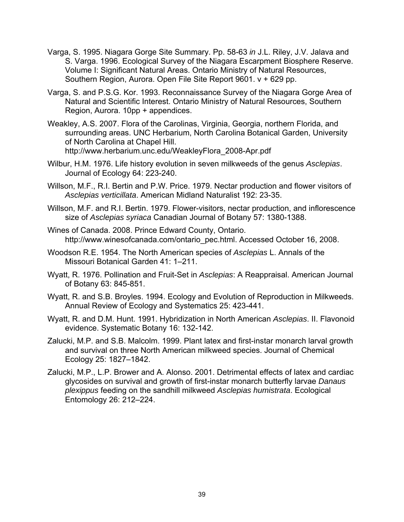- Varga, S. 1995. Niagara Gorge Site Summary. Pp. 58-63 *in* J.L. Riley, J.V. Jalava and S. Varga. 1996. Ecological Survey of the Niagara Escarpment Biosphere Reserve. Volume I: Significant Natural Areas. Ontario Ministry of Natural Resources, Southern Region, Aurora. Open File Site Report 9601. v + 629 pp.
- Varga, S. and P.S.G. Kor. 1993. Reconnaissance Survey of the Niagara Gorge Area of Natural and Scientific Interest. Ontario Ministry of Natural Resources, Southern Region, Aurora. 10pp + appendices.
- Weakley, A.S. 2007. Flora of the Carolinas, Virginia, Georgia, northern Florida, and surrounding areas. UNC Herbarium, North Carolina Botanical Garden, University of North Carolina at Chapel Hill. http://www.herbarium.unc.edu/WeakleyFlora\_2008-Apr.pdf
- Wilbur, H.M. 1976. Life history evolution in seven milkweeds of the genus *Asclepias*. Journal of Ecology 64: 223-240.
- Willson, M.F., R.I. Bertin and P.W. Price. 1979. Nectar production and flower visitors of *Asclepias verticillata*. American Midland Naturalist 192: 23-35.
- Willson, M.F. and R.I. Bertin. 1979. Flower-visitors, nectar production, and inflorescence size of *Asclepias syriaca* Canadian Journal of Botany 57: 1380-1388.
- Wines of Canada. 2008. Prince Edward County, Ontario. http://www.winesofcanada.com/ontario\_pec.html. Accessed October 16, 2008.
- Woodson R.E. 1954. The North American species of *Asclepias* L. Annals of the Missouri Botanical Garden 41: 1–211.
- Wyatt, R. 1976. Pollination and Fruit-Set in *Asclepias*: A Reappraisal. American Journal of Botany 63: 845-851.
- Wyatt, R. and S.B. Broyles. 1994. Ecology and Evolution of Reproduction in Milkweeds. Annual Review of Ecology and Systematics 25: 423-441.
- Wyatt, R. and D.M. Hunt. 1991. Hybridization in North American *Asclepias*. II. Flavonoid evidence. Systematic Botany 16: 132-142.
- Zalucki, M.P. and S.B. Malcolm. 1999. Plant latex and first-instar monarch larval growth and survival on three North American milkweed species. Journal of Chemical Ecology 25: 1827–1842.
- Zalucki, M.P., L.P. Brower and A. Alonso. 2001. Detrimental effects of latex and cardiac glycosides on survival and growth of first-instar monarch butterfly larvae *Danaus plexippus* feeding on the sandhill milkweed *Asclepias humistrata*. Ecological Entomology 26: 212–224.